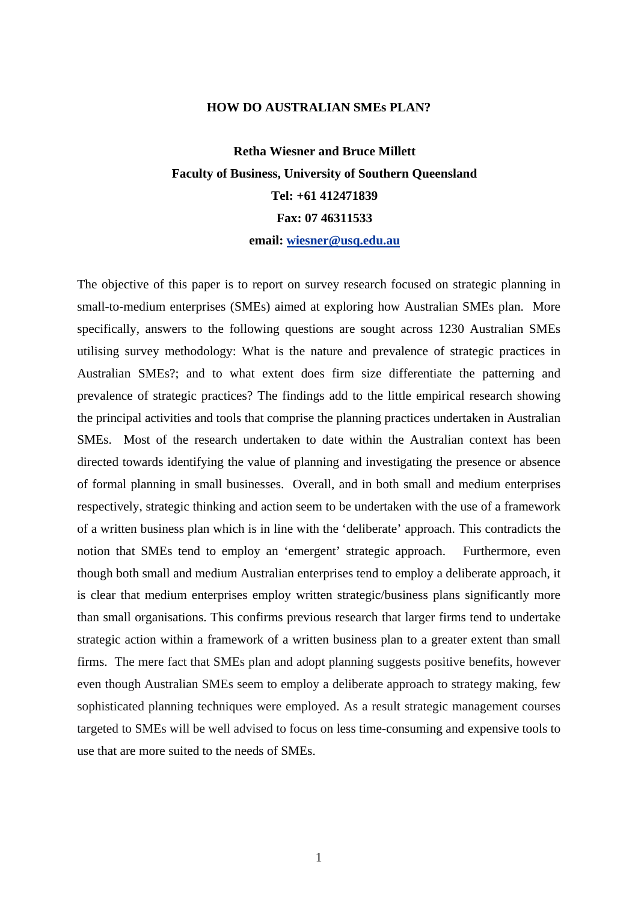#### **HOW DO AUSTRALIAN SMEs PLAN?**

**Retha Wiesner and Bruce Millett Faculty of Business, University of Southern Queensland Tel: +61 412471839 Fax: 07 46311533 email: [wiesner@usq.edu.au](mailto:wiesner@usq.edu.au)**

The objective of this paper is to report on survey research focused on strategic planning in small-to-medium enterprises (SMEs) aimed at exploring how Australian SMEs plan. More specifically, answers to the following questions are sought across 1230 Australian SMEs utilising survey methodology: What is the nature and prevalence of strategic practices in Australian SMEs?; and to what extent does firm size differentiate the patterning and prevalence of strategic practices? The findings add to the little empirical research showing the principal activities and tools that comprise the planning practices undertaken in Australian SMEs. Most of the research undertaken to date within the Australian context has been directed towards identifying the value of planning and investigating the presence or absence of formal planning in small businesses. Overall, and in both small and medium enterprises respectively, strategic thinking and action seem to be undertaken with the use of a framework of a written business plan which is in line with the 'deliberate' approach. This contradicts the notion that SMEs tend to employ an 'emergent' strategic approach. Furthermore, even though both small and medium Australian enterprises tend to employ a deliberate approach, it is clear that medium enterprises employ written strategic/business plans significantly more than small organisations. This confirms previous research that larger firms tend to undertake strategic action within a framework of a written business plan to a greater extent than small firms. The mere fact that SMEs plan and adopt planning suggests positive benefits, however even though Australian SMEs seem to employ a deliberate approach to strategy making, few sophisticated planning techniques were employed. As a result strategic management courses targeted to SMEs will be well advised to focus on less time-consuming and expensive tools to use that are more suited to the needs of SMEs.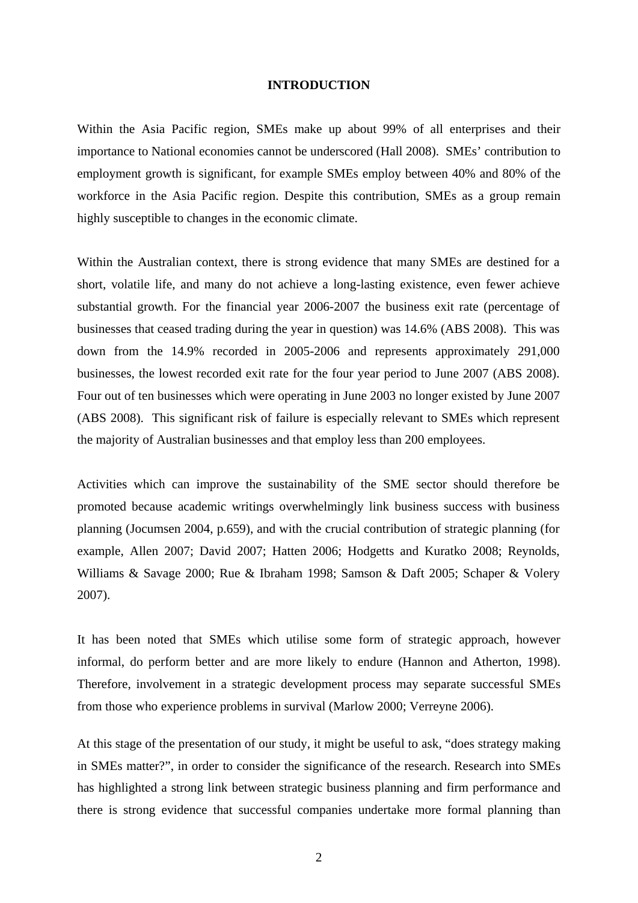#### **INTRODUCTION**

Within the Asia Pacific region, SMEs make up about 99% of all enterprises and their importance to National economies cannot be underscored (Hall 2008). SMEs' contribution to employment growth is significant, for example SMEs employ between 40% and 80% of the workforce in the Asia Pacific region. Despite this contribution, SMEs as a group remain highly susceptible to changes in the economic climate.

Within the Australian context, there is strong evidence that many SMEs are destined for a short, volatile life, and many do not achieve a long-lasting existence, even fewer achieve substantial growth. For the financial year 2006-2007 the business exit rate (percentage of businesses that ceased trading during the year in question) was 14.6% (ABS 2008). This was down from the 14.9% recorded in 2005-2006 and represents approximately 291,000 businesses, the lowest recorded exit rate for the four year period to June 2007 (ABS 2008). Four out of ten businesses which were operating in June 2003 no longer existed by June 2007 (ABS 2008). This significant risk of failure is especially relevant to SMEs which represent the majority of Australian businesses and that employ less than 200 employees.

Activities which can improve the sustainability of the SME sector should therefore be promoted because academic writings overwhelmingly link business success with business planning (Jocumsen 2004, p.659), and with the crucial contribution of strategic planning (for example, Allen 2007; David 2007; Hatten 2006; Hodgetts and Kuratko 2008; Reynolds, Williams & Savage 2000; Rue & Ibraham 1998; Samson & Daft 2005; Schaper & Volery 2007).

It has been noted that SMEs which utilise some form of strategic approach, however informal, do perform better and are more likely to endure (Hannon and Atherton, 1998). Therefore, involvement in a strategic development process may separate successful SMEs from those who experience problems in survival (Marlow 2000; Verreyne 2006).

At this stage of the presentation of our study, it might be useful to ask, "does strategy making in SMEs matter?", in order to consider the significance of the research. Research into SMEs has highlighted a strong link between strategic business planning and firm performance and there is strong evidence that successful companies undertake more formal planning than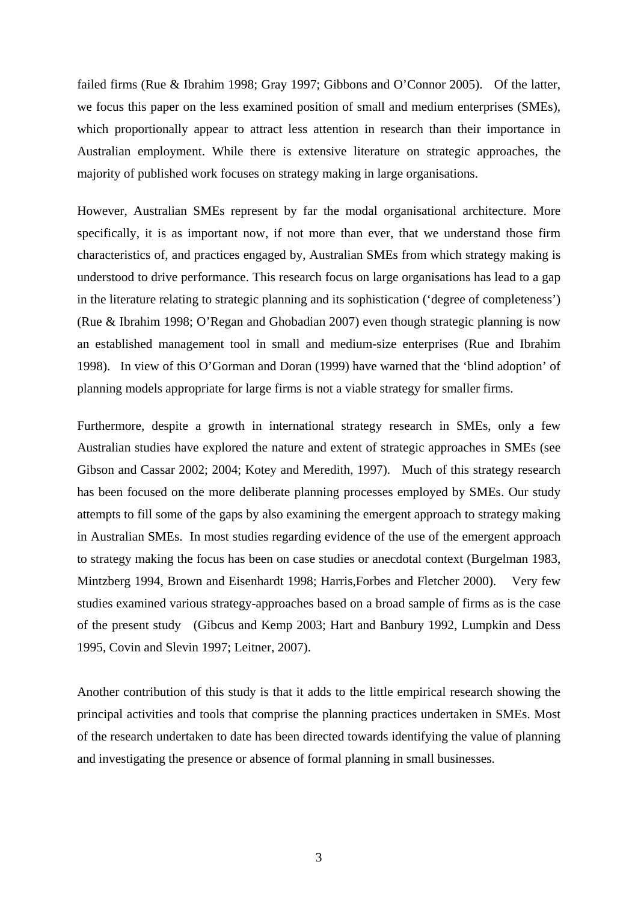failed firms (Rue & Ibrahim 1998; Gray 1997; Gibbons and O'Connor 2005). Of the latter, we focus this paper on the less examined position of small and medium enterprises (SMEs), which proportionally appear to attract less attention in research than their importance in Australian employment. While there is extensive literature on strategic approaches, the majority of published work focuses on strategy making in large organisations.

However, Australian SMEs represent by far the modal organisational architecture. More specifically, it is as important now, if not more than ever, that we understand those firm characteristics of, and practices engaged by, Australian SMEs from which strategy making is understood to drive performance. This research focus on large organisations has lead to a gap in the literature relating to strategic planning and its sophistication ('degree of completeness') (Rue & Ibrahim 1998; O'Regan and Ghobadian 2007) even though strategic planning is now an established management tool in small and medium-size enterprises (Rue and Ibrahim 1998). In view of this O'Gorman and Doran (1999) have warned that the 'blind adoption' of planning models appropriate for large firms is not a viable strategy for smaller firms.

Furthermore, despite a growth in international strategy research in SMEs, only a few Australian studies have explored the nature and extent of strategic approaches in SMEs (see Gibson and Cassar 2002; 2004; Kotey and Meredith, 1997). Much of this strategy research has been focused on the more deliberate planning processes employed by SMEs. Our study attempts to fill some of the gaps by also examining the emergent approach to strategy making in Australian SMEs. In most studies regarding evidence of the use of the emergent approach to strategy making the focus has been on case studies or anecdotal context (Burgelman 1983, Mintzberg 1994, Brown and Eisenhardt 1998; Harris,Forbes and Fletcher 2000). Very few studies examined various strategy-approaches based on a broad sample of firms as is the case of the present study (Gibcus and Kemp 2003; Hart and Banbury 1992, Lumpkin and Dess 1995, Covin and Slevin 1997; Leitner, 2007).

Another contribution of this study is that it adds to the little empirical research showing the principal activities and tools that comprise the planning practices undertaken in SMEs. Most of the research undertaken to date has been directed towards identifying the value of planning and investigating the presence or absence of formal planning in small businesses.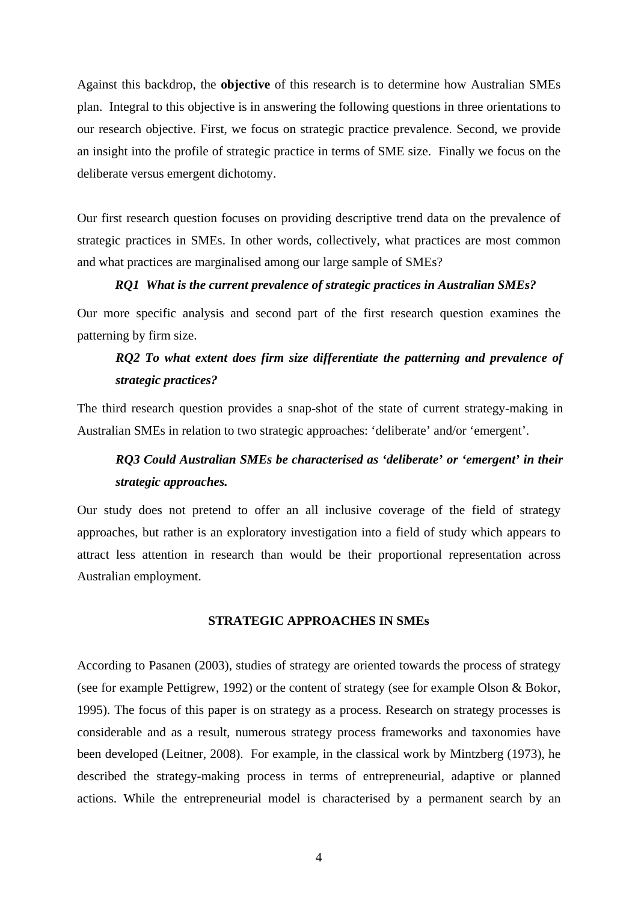Against this backdrop, the **objective** of this research is to determine how Australian SMEs plan. Integral to this objective is in answering the following questions in three orientations to our research objective. First, we focus on strategic practice prevalence. Second, we provide an insight into the profile of strategic practice in terms of SME size. Finally we focus on the deliberate versus emergent dichotomy.

Our first research question focuses on providing descriptive trend data on the prevalence of strategic practices in SMEs. In other words, collectively, what practices are most common and what practices are marginalised among our large sample of SMEs?

## *RQ1 What is the current prevalence of strategic practices in Australian SMEs?*

Our more specific analysis and second part of the first research question examines the patterning by firm size.

# *RQ2 To what extent does firm size differentiate the patterning and prevalence of strategic practices?*

The third research question provides a snap-shot of the state of current strategy-making in Australian SMEs in relation to two strategic approaches: 'deliberate' and/or 'emergent'.

# *RQ3 Could Australian SMEs be characterised as 'deliberate' or 'emergent' in their strategic approaches.*

Our study does not pretend to offer an all inclusive coverage of the field of strategy approaches, but rather is an exploratory investigation into a field of study which appears to attract less attention in research than would be their proportional representation across Australian employment.

## **STRATEGIC APPROACHES IN SMEs**

According to Pasanen (2003), studies of strategy are oriented towards the process of strategy (see for example Pettigrew, 1992) or the content of strategy (see for example Olson & Bokor, 1995). The focus of this paper is on strategy as a process. Research on strategy processes is considerable and as a result, numerous strategy process frameworks and taxonomies have been developed (Leitner, 2008). For example, in the classical work by Mintzberg (1973), he described the strategy-making process in terms of entrepreneurial, adaptive or planned actions. While the entrepreneurial model is characterised by a permanent search by an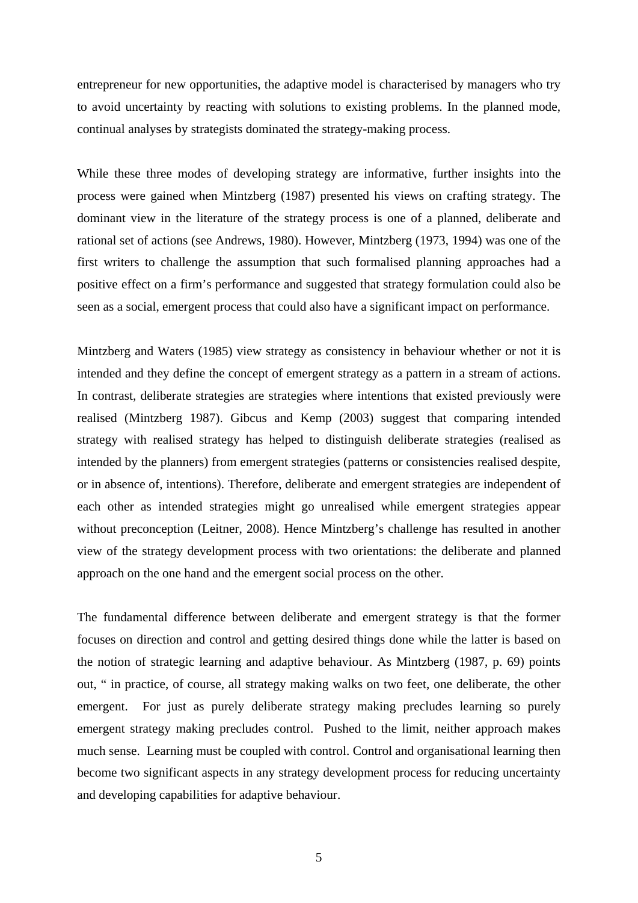entrepreneur for new opportunities, the adaptive model is characterised by managers who try to avoid uncertainty by reacting with solutions to existing problems. In the planned mode, continual analyses by strategists dominated the strategy-making process.

While these three modes of developing strategy are informative, further insights into the process were gained when Mintzberg (1987) presented his views on crafting strategy. The dominant view in the literature of the strategy process is one of a planned, deliberate and rational set of actions (see Andrews, 1980). However, Mintzberg (1973, 1994) was one of the first writers to challenge the assumption that such formalised planning approaches had a positive effect on a firm's performance and suggested that strategy formulation could also be seen as a social, emergent process that could also have a significant impact on performance.

Mintzberg and Waters (1985) view strategy as consistency in behaviour whether or not it is intended and they define the concept of emergent strategy as a pattern in a stream of actions. In contrast, deliberate strategies are strategies where intentions that existed previously were realised (Mintzberg 1987). Gibcus and Kemp (2003) suggest that comparing intended strategy with realised strategy has helped to distinguish deliberate strategies (realised as intended by the planners) from emergent strategies (patterns or consistencies realised despite, or in absence of, intentions). Therefore, deliberate and emergent strategies are independent of each other as intended strategies might go unrealised while emergent strategies appear without preconception (Leitner, 2008). Hence Mintzberg's challenge has resulted in another view of the strategy development process with two orientations: the deliberate and planned approach on the one hand and the emergent social process on the other.

The fundamental difference between deliberate and emergent strategy is that the former focuses on direction and control and getting desired things done while the latter is based on the notion of strategic learning and adaptive behaviour. As Mintzberg (1987, p. 69) points out, " in practice, of course, all strategy making walks on two feet, one deliberate, the other emergent. For just as purely deliberate strategy making precludes learning so purely emergent strategy making precludes control. Pushed to the limit, neither approach makes much sense. Learning must be coupled with control. Control and organisational learning then become two significant aspects in any strategy development process for reducing uncertainty and developing capabilities for adaptive behaviour.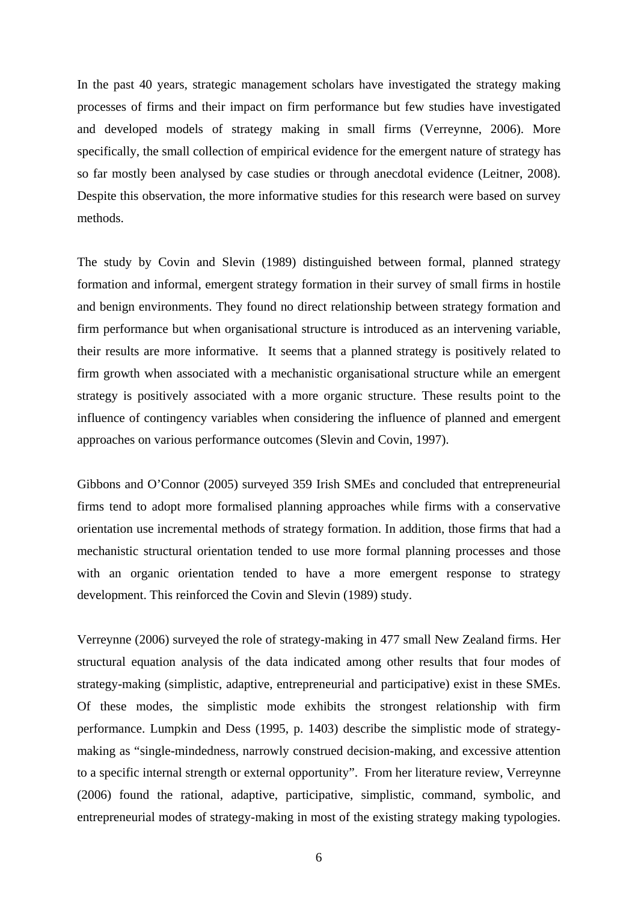In the past 40 years, strategic management scholars have investigated the strategy making processes of firms and their impact on firm performance but few studies have investigated and developed models of strategy making in small firms (Verreynne, 2006). More specifically, the small collection of empirical evidence for the emergent nature of strategy has so far mostly been analysed by case studies or through anecdotal evidence (Leitner, 2008). Despite this observation, the more informative studies for this research were based on survey methods.

The study by Covin and Slevin (1989) distinguished between formal, planned strategy formation and informal, emergent strategy formation in their survey of small firms in hostile and benign environments. They found no direct relationship between strategy formation and firm performance but when organisational structure is introduced as an intervening variable, their results are more informative. It seems that a planned strategy is positively related to firm growth when associated with a mechanistic organisational structure while an emergent strategy is positively associated with a more organic structure. These results point to the influence of contingency variables when considering the influence of planned and emergent approaches on various performance outcomes (Slevin and Covin, 1997).

Gibbons and O'Connor (2005) surveyed 359 Irish SMEs and concluded that entrepreneurial firms tend to adopt more formalised planning approaches while firms with a conservative orientation use incremental methods of strategy formation. In addition, those firms that had a mechanistic structural orientation tended to use more formal planning processes and those with an organic orientation tended to have a more emergent response to strategy development. This reinforced the Covin and Slevin (1989) study.

Verreynne (2006) surveyed the role of strategy-making in 477 small New Zealand firms. Her structural equation analysis of the data indicated among other results that four modes of strategy-making (simplistic, adaptive, entrepreneurial and participative) exist in these SMEs. Of these modes, the simplistic mode exhibits the strongest relationship with firm performance. Lumpkin and Dess (1995, p. 1403) describe the simplistic mode of strategymaking as "single-mindedness, narrowly construed decision-making, and excessive attention to a specific internal strength or external opportunity". From her literature review, Verreynne (2006) found the rational, adaptive, participative, simplistic, command, symbolic, and entrepreneurial modes of strategy-making in most of the existing strategy making typologies.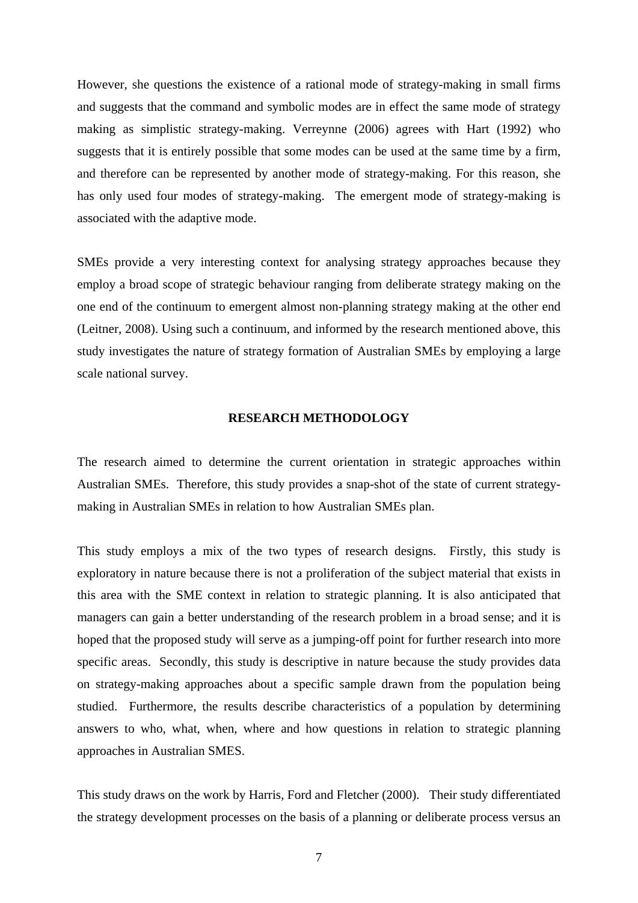However, she questions the existence of a rational mode of strategy-making in small firms and suggests that the command and symbolic modes are in effect the same mode of strategy making as simplistic strategy-making. Verreynne (2006) agrees with Hart (1992) who suggests that it is entirely possible that some modes can be used at the same time by a firm, and therefore can be represented by another mode of strategy-making. For this reason, she has only used four modes of strategy-making. The emergent mode of strategy-making is associated with the adaptive mode.

SMEs provide a very interesting context for analysing strategy approaches because they employ a broad scope of strategic behaviour ranging from deliberate strategy making on the one end of the continuum to emergent almost non-planning strategy making at the other end (Leitner, 2008). Using such a continuum, and informed by the research mentioned above, this study investigates the nature of strategy formation of Australian SMEs by employing a large scale national survey.

#### **RESEARCH METHODOLOGY**

The research aimed to determine the current orientation in strategic approaches within Australian SMEs. Therefore, this study provides a snap-shot of the state of current strategymaking in Australian SMEs in relation to how Australian SMEs plan.

This study employs a mix of the two types of research designs. Firstly, this study is exploratory in nature because there is not a proliferation of the subject material that exists in this area with the SME context in relation to strategic planning. It is also anticipated that managers can gain a better understanding of the research problem in a broad sense; and it is hoped that the proposed study will serve as a jumping-off point for further research into more specific areas. Secondly, this study is descriptive in nature because the study provides data on strategy-making approaches about a specific sample drawn from the population being studied. Furthermore, the results describe characteristics of a population by determining answers to who, what, when, where and how questions in relation to strategic planning approaches in Australian SMES.

This study draws on the work by Harris, Ford and Fletcher (2000). Their study differentiated the strategy development processes on the basis of a planning or deliberate process versus an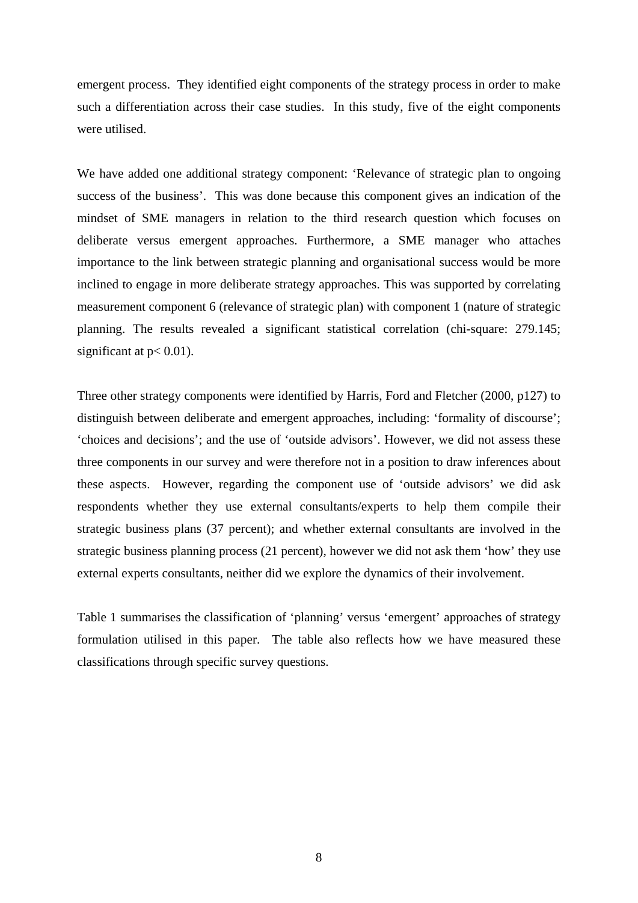emergent process. They identified eight components of the strategy process in order to make such a differentiation across their case studies. In this study, five of the eight components were utilised.

We have added one additional strategy component: 'Relevance of strategic plan to ongoing success of the business'. This was done because this component gives an indication of the mindset of SME managers in relation to the third research question which focuses on deliberate versus emergent approaches. Furthermore, a SME manager who attaches importance to the link between strategic planning and organisational success would be more inclined to engage in more deliberate strategy approaches. This was supported by correlating measurement component 6 (relevance of strategic plan) with component 1 (nature of strategic planning. The results revealed a significant statistical correlation (chi-square: 279.145; significant at  $p < 0.01$ ).

Three other strategy components were identified by Harris, Ford and Fletcher (2000, p127) to distinguish between deliberate and emergent approaches, including: 'formality of discourse'; 'choices and decisions'; and the use of 'outside advisors'. However, we did not assess these three components in our survey and were therefore not in a position to draw inferences about these aspects. However, regarding the component use of 'outside advisors' we did ask respondents whether they use external consultants/experts to help them compile their strategic business plans (37 percent); and whether external consultants are involved in the strategic business planning process (21 percent), however we did not ask them 'how' they use external experts consultants, neither did we explore the dynamics of their involvement.

Table 1 summarises the classification of 'planning' versus 'emergent' approaches of strategy formulation utilised in this paper. The table also reflects how we have measured these classifications through specific survey questions.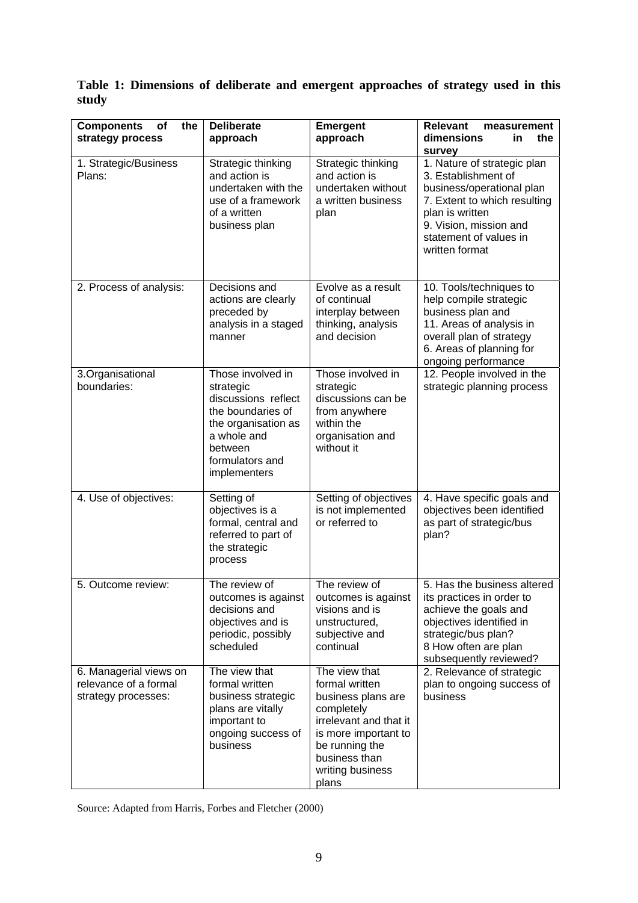**Table 1: Dimensions of deliberate and emergent approaches of strategy used in this study** 

| the<br><b>Components</b><br><b>of</b><br>strategy process              | <b>Deliberate</b><br>approach                                                                                                                                  | <b>Emergent</b><br>approach                                                                                                                                                           | <b>Relevant</b><br>measurement<br>dimensions<br>the<br>in<br>survey                                                                                                                                      |
|------------------------------------------------------------------------|----------------------------------------------------------------------------------------------------------------------------------------------------------------|---------------------------------------------------------------------------------------------------------------------------------------------------------------------------------------|----------------------------------------------------------------------------------------------------------------------------------------------------------------------------------------------------------|
| 1. Strategic/Business<br>Plans:                                        | Strategic thinking<br>and action is<br>undertaken with the<br>use of a framework<br>of a written<br>business plan                                              | Strategic thinking<br>and action is<br>undertaken without<br>a written business<br>plan                                                                                               | 1. Nature of strategic plan<br>3. Establishment of<br>business/operational plan<br>7. Extent to which resulting<br>plan is written<br>9. Vision, mission and<br>statement of values in<br>written format |
| 2. Process of analysis:                                                | Decisions and<br>actions are clearly<br>preceded by<br>analysis in a staged<br>manner                                                                          | Evolve as a result<br>of continual<br>interplay between<br>thinking, analysis<br>and decision                                                                                         | 10. Tools/techniques to<br>help compile strategic<br>business plan and<br>11. Areas of analysis in<br>overall plan of strategy<br>6. Areas of planning for<br>ongoing performance                        |
| 3.Organisational<br>boundaries:                                        | Those involved in<br>strategic<br>discussions reflect<br>the boundaries of<br>the organisation as<br>a whole and<br>between<br>formulators and<br>implementers | Those involved in<br>strategic<br>discussions can be<br>from anywhere<br>within the<br>organisation and<br>without it                                                                 | 12. People involved in the<br>strategic planning process                                                                                                                                                 |
| 4. Use of objectives:                                                  | Setting of<br>objectives is a<br>formal, central and<br>referred to part of<br>the strategic<br>process                                                        | Setting of objectives<br>is not implemented<br>or referred to                                                                                                                         | 4. Have specific goals and<br>objectives been identified<br>as part of strategic/bus<br>plan?                                                                                                            |
| 5. Outcome review:                                                     | The review of<br>outcomes is against<br>decisions and<br>objectives and is<br>periodic, possibly<br>scheduled                                                  | The review of<br>outcomes is against<br>visions and is<br>unstructured,<br>subjective and<br>continual                                                                                | 5. Has the business altered<br>its practices in order to<br>achieve the goals and<br>objectives identified in<br>strategic/bus plan?<br>8 How often are plan<br>subsequently reviewed?                   |
| 6. Managerial views on<br>relevance of a formal<br>strategy processes: | The view that<br>formal written<br>business strategic<br>plans are vitally<br>important to<br>ongoing success of<br>business                                   | The view that<br>formal written<br>business plans are<br>completely<br>irrelevant and that it<br>is more important to<br>be running the<br>business than<br>writing business<br>plans | 2. Relevance of strategic<br>plan to ongoing success of<br>business                                                                                                                                      |

Source: Adapted from Harris, Forbes and Fletcher (2000)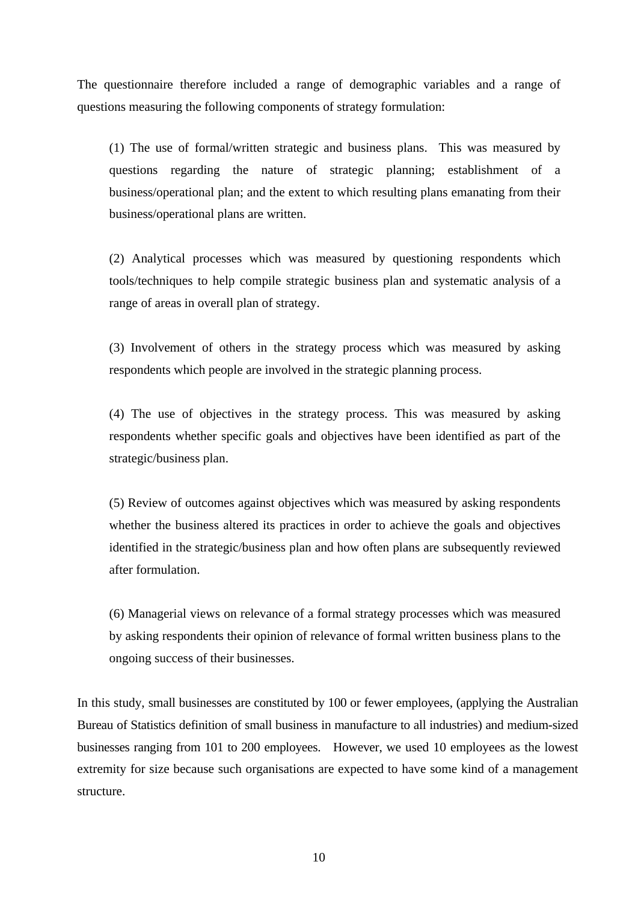The questionnaire therefore included a range of demographic variables and a range of questions measuring the following components of strategy formulation:

(1) The use of formal/written strategic and business plans. This was measured by questions regarding the nature of strategic planning; establishment of a business/operational plan; and the extent to which resulting plans emanating from their business/operational plans are written.

(2) Analytical processes which was measured by questioning respondents which tools/techniques to help compile strategic business plan and systematic analysis of a range of areas in overall plan of strategy.

(3) Involvement of others in the strategy process which was measured by asking respondents which people are involved in the strategic planning process.

(4) The use of objectives in the strategy process. This was measured by asking respondents whether specific goals and objectives have been identified as part of the strategic/business plan.

(5) Review of outcomes against objectives which was measured by asking respondents whether the business altered its practices in order to achieve the goals and objectives identified in the strategic/business plan and how often plans are subsequently reviewed after formulation.

(6) Managerial views on relevance of a formal strategy processes which was measured by asking respondents their opinion of relevance of formal written business plans to the ongoing success of their businesses.

In this study, small businesses are constituted by 100 or fewer employees, (applying the Australian Bureau of Statistics definition of small business in manufacture to all industries) and medium-sized businesses ranging from 101 to 200 employees. However, we used 10 employees as the lowest extremity for size because such organisations are expected to have some kind of a management structure.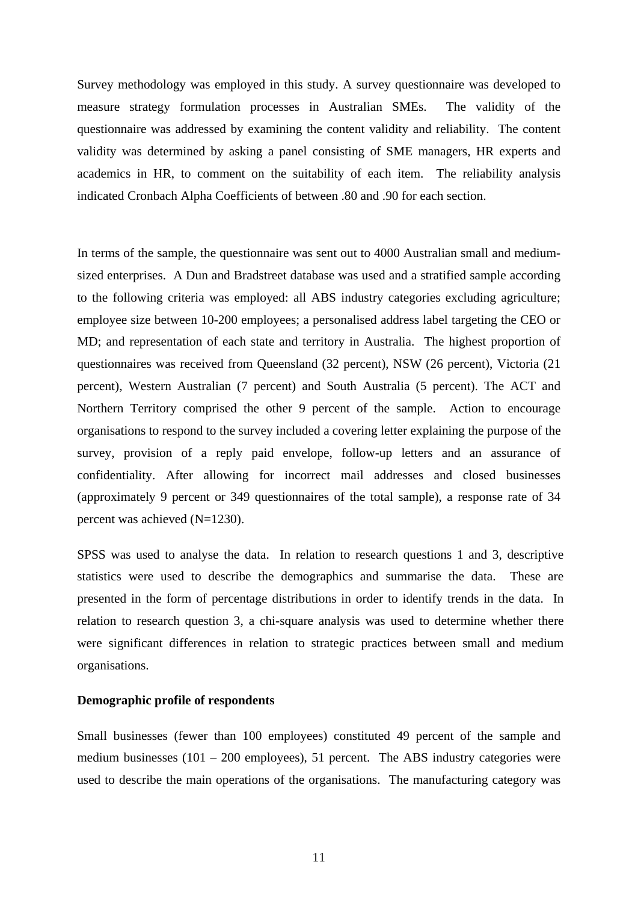Survey methodology was employed in this study. A survey questionnaire was developed to measure strategy formulation processes in Australian SMEs. The validity of the questionnaire was addressed by examining the content validity and reliability. The content validity was determined by asking a panel consisting of SME managers, HR experts and academics in HR, to comment on the suitability of each item. The reliability analysis indicated Cronbach Alpha Coefficients of between .80 and .90 for each section.

In terms of the sample, the questionnaire was sent out to 4000 Australian small and mediumsized enterprises. A Dun and Bradstreet database was used and a stratified sample according to the following criteria was employed: all ABS industry categories excluding agriculture; employee size between 10-200 employees; a personalised address label targeting the CEO or MD; and representation of each state and territory in Australia. The highest proportion of questionnaires was received from Queensland (32 percent), NSW (26 percent), Victoria (21 percent), Western Australian (7 percent) and South Australia (5 percent). The ACT and Northern Territory comprised the other 9 percent of the sample. Action to encourage organisations to respond to the survey included a covering letter explaining the purpose of the survey, provision of a reply paid envelope, follow-up letters and an assurance of confidentiality. After allowing for incorrect mail addresses and closed businesses (approximately 9 percent or 349 questionnaires of the total sample), a response rate of 34 percent was achieved (N=1230).

SPSS was used to analyse the data. In relation to research questions 1 and 3, descriptive statistics were used to describe the demographics and summarise the data. These are presented in the form of percentage distributions in order to identify trends in the data. In relation to research question 3, a chi-square analysis was used to determine whether there were significant differences in relation to strategic practices between small and medium organisations.

#### **Demographic profile of respondents**

Small businesses (fewer than 100 employees) constituted 49 percent of the sample and medium businesses (101 – 200 employees), 51 percent. The ABS industry categories were used to describe the main operations of the organisations. The manufacturing category was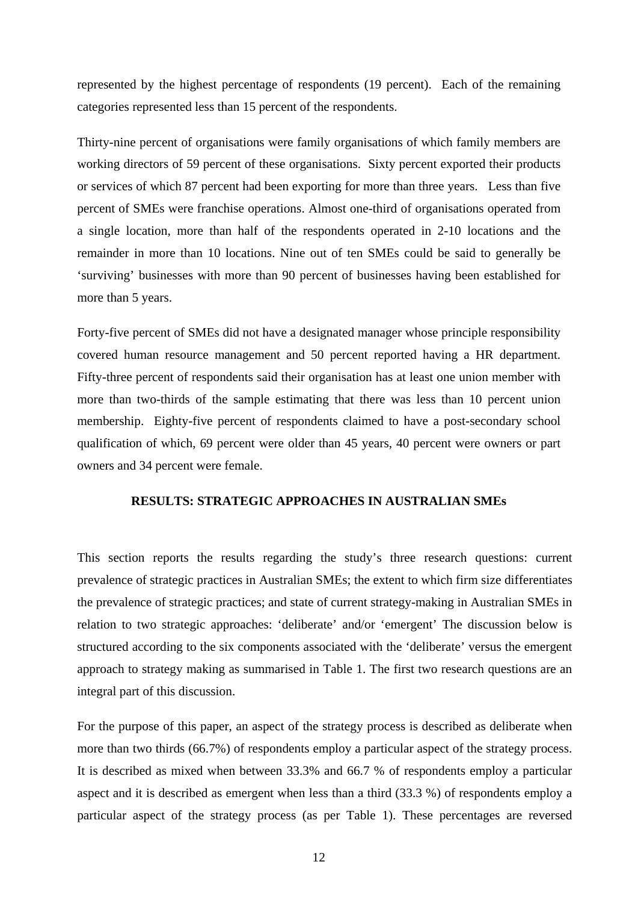represented by the highest percentage of respondents (19 percent). Each of the remaining categories represented less than 15 percent of the respondents.

Thirty-nine percent of organisations were family organisations of which family members are working directors of 59 percent of these organisations. Sixty percent exported their products or services of which 87 percent had been exporting for more than three years. Less than five percent of SMEs were franchise operations. Almost one-third of organisations operated from a single location, more than half of the respondents operated in 2-10 locations and the remainder in more than 10 locations. Nine out of ten SMEs could be said to generally be 'surviving' businesses with more than 90 percent of businesses having been established for more than 5 years.

Forty-five percent of SMEs did not have a designated manager whose principle responsibility covered human resource management and 50 percent reported having a HR department. Fifty-three percent of respondents said their organisation has at least one union member with more than two-thirds of the sample estimating that there was less than 10 percent union membership. Eighty-five percent of respondents claimed to have a post-secondary school qualification of which, 69 percent were older than 45 years, 40 percent were owners or part owners and 34 percent were female.

# **RESULTS: STRATEGIC APPROACHES IN AUSTRALIAN SMEs**

This section reports the results regarding the study's three research questions: current prevalence of strategic practices in Australian SMEs; the extent to which firm size differentiates the prevalence of strategic practices; and state of current strategy-making in Australian SMEs in relation to two strategic approaches: 'deliberate' and/or 'emergent' The discussion below is structured according to the six components associated with the 'deliberate' versus the emergent approach to strategy making as summarised in Table 1. The first two research questions are an integral part of this discussion.

For the purpose of this paper, an aspect of the strategy process is described as deliberate when more than two thirds (66.7%) of respondents employ a particular aspect of the strategy process. It is described as mixed when between 33.3% and 66.7 % of respondents employ a particular aspect and it is described as emergent when less than a third (33.3 %) of respondents employ a particular aspect of the strategy process (as per Table 1). These percentages are reversed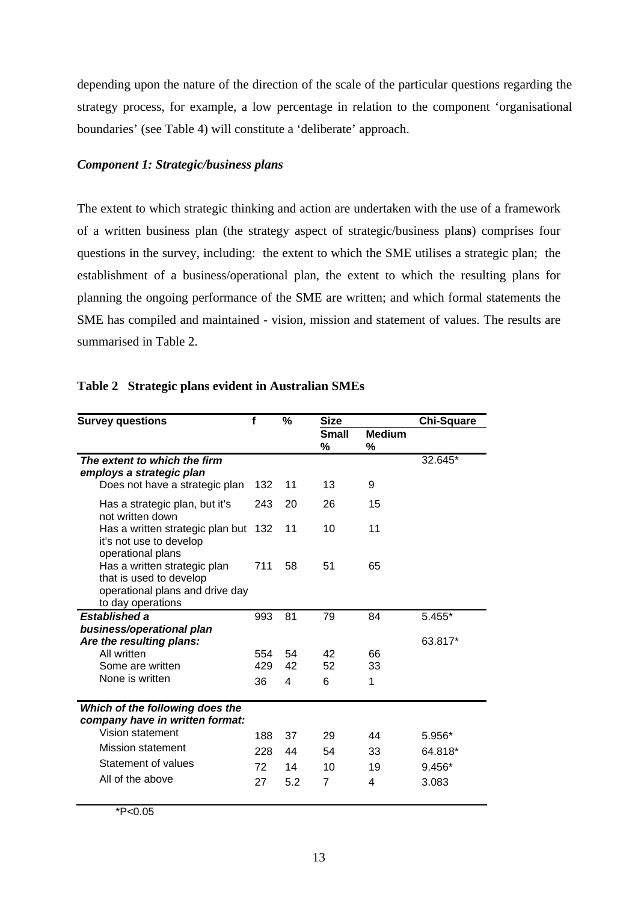depending upon the nature of the direction of the scale of the particular questions regarding the strategy process, for example, a low percentage in relation to the component 'organisational boundaries' (see Table 4) will constitute a 'deliberate' approach.

## *Component 1: Strategic/business plans*

The extent to which strategic thinking and action are undertaken with the use of a framework of a written business plan (the strategy aspect of strategic/business plan**s**) comprises four questions in the survey, including: the extent to which the SME utilises a strategic plan; the establishment of a business/operational plan, the extent to which the resulting plans for planning the ongoing performance of the SME are written; and which formal statements the SME has compiled and maintained - vision, mission and statement of values. The results are summarised in Table 2.

| <b>Survey questions</b>                                                                                         | f          | %        | <b>Size</b>       |                    | <b>Chi-Square</b> |
|-----------------------------------------------------------------------------------------------------------------|------------|----------|-------------------|--------------------|-------------------|
|                                                                                                                 |            |          | <b>Small</b><br>% | <b>Medium</b><br>% |                   |
| The extent to which the firm<br>employs a strategic plan                                                        |            |          |                   |                    | 32.645*           |
| Does not have a strategic plan                                                                                  | 132        | 11       | 13                | 9                  |                   |
| Has a strategic plan, but it's<br>not written down                                                              | 243        | 20       | 26                | 15                 |                   |
| Has a written strategic plan but 132<br>it's not use to develop<br>operational plans                            |            | 11       | 10                | 11                 |                   |
| Has a written strategic plan<br>that is used to develop<br>operational plans and drive day<br>to day operations | 711        | 58       | 51                | 65                 |                   |
| Established a                                                                                                   | 993        | 81       | 79                | 84                 | 5.455*            |
| business/operational plan                                                                                       |            |          |                   |                    |                   |
| Are the resulting plans:                                                                                        |            |          |                   |                    | 63.817*           |
| All written<br>Some are written                                                                                 | 554<br>429 | 54<br>42 | 42<br>52          | 66<br>33           |                   |
| None is written                                                                                                 |            |          |                   |                    |                   |
|                                                                                                                 | 36         | 4        | 6                 | 1                  |                   |
| Which of the following does the                                                                                 |            |          |                   |                    |                   |
| company have in written format:                                                                                 |            |          |                   |                    |                   |
| Vision statement                                                                                                | 188        | 37       | 29                | 44                 | 5.956*            |
| <b>Mission statement</b>                                                                                        | 228        | 44       | 54                | 33                 | 64.818*           |
| Statement of values                                                                                             | 72         | 14       | 10                | 19                 | 9.456*            |
| All of the above                                                                                                | 27         | 5.2      | $\overline{7}$    | 4                  | 3.083             |

#### **Table 2 Strategic plans evident in Australian SMEs**

 $*P<0.05$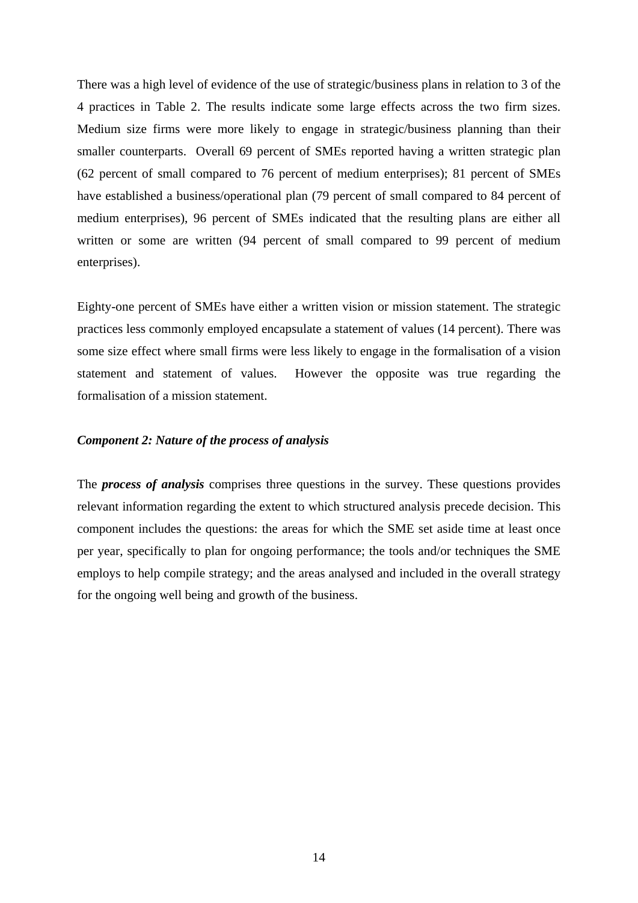There was a high level of evidence of the use of strategic/business plans in relation to 3 of the 4 practices in Table 2. The results indicate some large effects across the two firm sizes. Medium size firms were more likely to engage in strategic/business planning than their smaller counterparts. Overall 69 percent of SMEs reported having a written strategic plan (62 percent of small compared to 76 percent of medium enterprises); 81 percent of SMEs have established a business/operational plan (79 percent of small compared to 84 percent of medium enterprises), 96 percent of SMEs indicated that the resulting plans are either all written or some are written (94 percent of small compared to 99 percent of medium enterprises).

Eighty-one percent of SMEs have either a written vision or mission statement. The strategic practices less commonly employed encapsulate a statement of values (14 percent). There was some size effect where small firms were less likely to engage in the formalisation of a vision statement and statement of values. However the opposite was true regarding the formalisation of a mission statement.

# *Component 2: Nature of the process of analysis*

The *process of analysis* comprises three questions in the survey. These questions provides relevant information regarding the extent to which structured analysis precede decision. This component includes the questions: the areas for which the SME set aside time at least once per year, specifically to plan for ongoing performance; the tools and/or techniques the SME employs to help compile strategy; and the areas analysed and included in the overall strategy for the ongoing well being and growth of the business.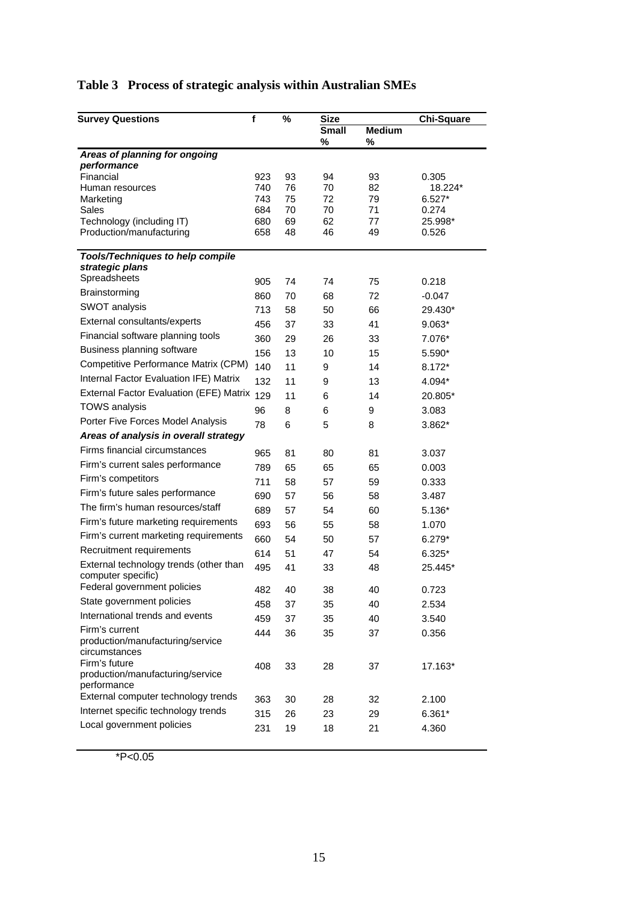# **Table 3 Process of strategic analysis within Australian SMEs**

| <b>Survey Questions</b>                               | f          | %        | <b>Size</b>  |          | <b>Chi-Square</b> |
|-------------------------------------------------------|------------|----------|--------------|----------|-------------------|
|                                                       |            |          | <b>Small</b> | Medium   |                   |
|                                                       |            |          | %            | %        |                   |
| Areas of planning for ongoing                         |            |          |              |          |                   |
| performance<br>Financial                              | 923        | 93       | 94           | 93       | 0.305             |
| Human resources                                       | 740        | 76       | 70           | 82       | 18.224*           |
| Marketing                                             | 743        | 75       | 72           | 79       | $6.527*$          |
| Sales                                                 | 684        | 70       | 70           | 71       | 0.274             |
| Technology (including IT)<br>Production/manufacturing | 680<br>658 | 69<br>48 | 62<br>46     | 77<br>49 | 25.998*<br>0.526  |
|                                                       |            |          |              |          |                   |
| <b>Tools/Techniques to help compile</b>               |            |          |              |          |                   |
| strategic plans                                       |            |          |              |          |                   |
| Spreadsheets                                          | 905        | 74       | 74           | 75       | 0.218             |
| Brainstorming                                         | 860        | 70       | 68           | 72       | $-0.047$          |
| SWOT analysis                                         | 713        | 58       | 50           | 66       | 29.430*           |
| External consultants/experts                          | 456        | 37       | 33           | 41       | $9.063*$          |
| Financial software planning tools                     | 360        | 29       | 26           | 33       | 7.076*            |
| Business planning software                            | 156        | 13       | 10           | 15       | 5.590*            |
| Competitive Performance Matrix (CPM)                  | 140        | 11       | 9            | 14       | 8.172*            |
| Internal Factor Evaluation IFE) Matrix                | 132        | 11       | 9            | 13       | 4.094*            |
| <b>External Factor Evaluation (EFE) Matrix</b>        | 129        | 11       | 6            | 14       | 20.805*           |
| <b>TOWS</b> analysis                                  | 96         | 8        | 6            | 9        | 3.083             |
| Porter Five Forces Model Analysis                     | 78         | 6        | 5            | 8        | $3.862*$          |
| Areas of analysis in overall strategy                 |            |          |              |          |                   |
| Firms financial circumstances                         | 965        | 81       | 80           | 81       | 3.037             |
| Firm's current sales performance                      | 789        | 65       | 65           | 65       | 0.003             |
| Firm's competitors                                    | 711        | 58       | 57           | 59       | 0.333             |
| Firm's future sales performance                       | 690        | 57       | 56           | 58       | 3.487             |
| The firm's human resources/staff                      | 689        | 57       | 54           | 60       | 5.136*            |
| Firm's future marketing requirements                  | 693        | 56       | 55           | 58       | 1.070             |
| Firm's current marketing requirements                 | 660        | 54       | 50           | 57       | $6.279*$          |
| Recruitment requirements                              | 614        | 51       | 47           | 54       | $6.325*$          |
| External technology trends (other than                | 495        | 41       | 33           | 48       | 25.445*           |
| computer specific)                                    |            |          |              |          |                   |
| Federal government policies                           | 482        | 40       | 38           | 40       | 0.723             |
| State government policies                             | 458        | 37       | 35           | 40       | 2.534             |
| International trends and events                       | 459        | 37       | 35           | 40       | 3.540             |
| Firm's current                                        | 444        | 36       | 35           | 37       | 0.356             |
| production/manufacturing/service<br>circumstances     |            |          |              |          |                   |
| Firm's future                                         | 408        | 33       | 28           | 37       | 17.163*           |
| production/manufacturing/service                      |            |          |              |          |                   |
| performance                                           |            |          |              |          |                   |
| External computer technology trends                   | 363        | 30       | 28           | 32       | 2.100             |
| Internet specific technology trends                   | 315        | 26       | 23           | 29       | $6.361*$          |
| Local government policies                             | 231        | 19       | 18           | 21       | 4.360             |

 $*P<0.05$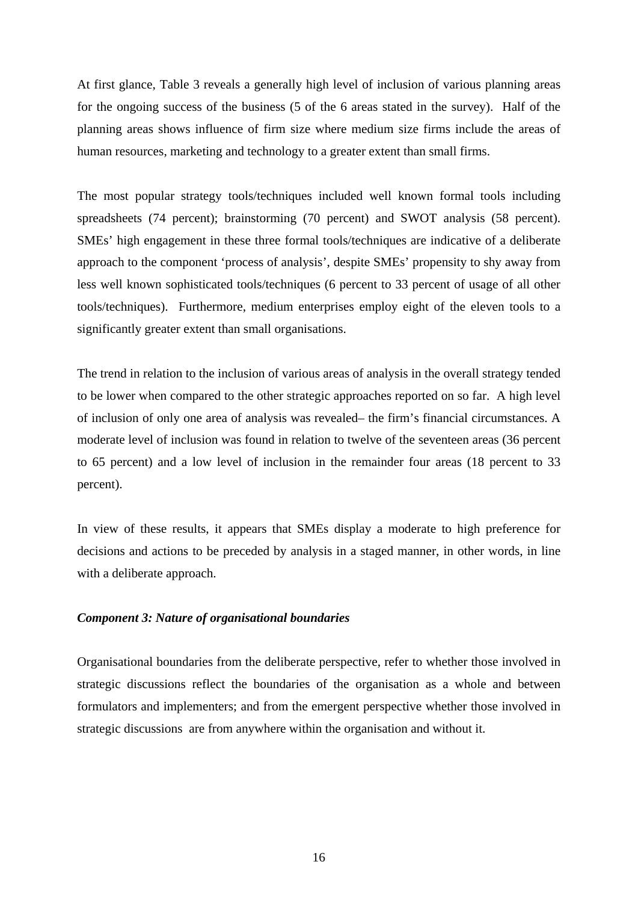At first glance, Table 3 reveals a generally high level of inclusion of various planning areas for the ongoing success of the business (5 of the 6 areas stated in the survey). Half of the planning areas shows influence of firm size where medium size firms include the areas of human resources, marketing and technology to a greater extent than small firms.

The most popular strategy tools/techniques included well known formal tools including spreadsheets (74 percent); brainstorming (70 percent) and SWOT analysis (58 percent). SMEs' high engagement in these three formal tools/techniques are indicative of a deliberate approach to the component 'process of analysis', despite SMEs' propensity to shy away from less well known sophisticated tools/techniques (6 percent to 33 percent of usage of all other tools/techniques). Furthermore, medium enterprises employ eight of the eleven tools to a significantly greater extent than small organisations.

The trend in relation to the inclusion of various areas of analysis in the overall strategy tended to be lower when compared to the other strategic approaches reported on so far. A high level of inclusion of only one area of analysis was revealed– the firm's financial circumstances. A moderate level of inclusion was found in relation to twelve of the seventeen areas (36 percent to 65 percent) and a low level of inclusion in the remainder four areas (18 percent to 33 percent).

In view of these results, it appears that SMEs display a moderate to high preference for decisions and actions to be preceded by analysis in a staged manner, in other words, in line with a deliberate approach.

#### *Component 3: Nature of organisational boundaries*

Organisational boundaries from the deliberate perspective, refer to whether those involved in strategic discussions reflect the boundaries of the organisation as a whole and between formulators and implementers; and from the emergent perspective whether those involved in strategic discussions are from anywhere within the organisation and without it.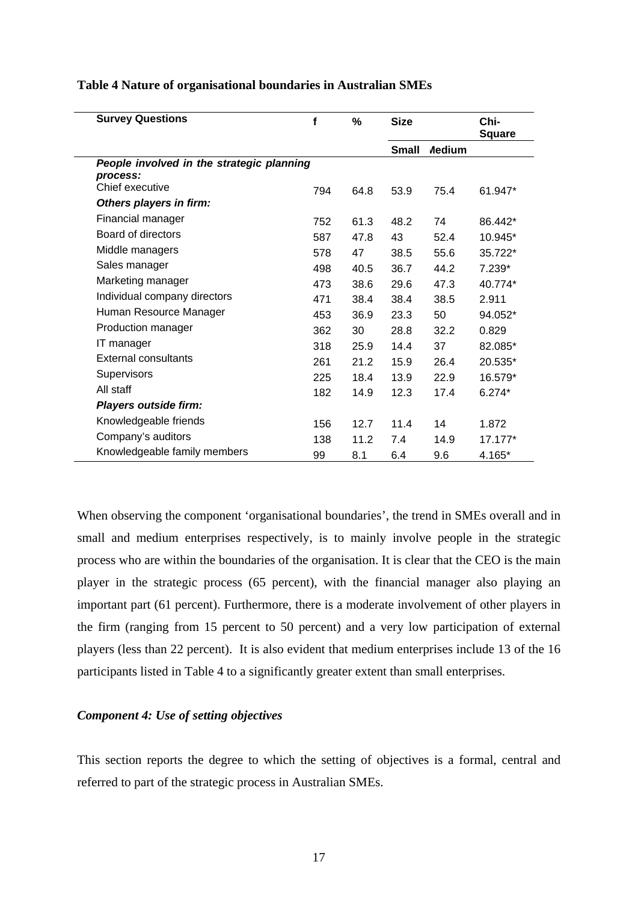| <b>Survey Questions</b>                   | f   | $\%$ | <b>Size</b>  |               | Chi-<br><b>Square</b> |
|-------------------------------------------|-----|------|--------------|---------------|-----------------------|
|                                           |     |      | <b>Small</b> | <b>Aedium</b> |                       |
| People involved in the strategic planning |     |      |              |               |                       |
| process:<br>Chief executive               |     |      |              |               |                       |
| Others players in firm:                   | 794 | 64.8 | 53.9         | 75.4          | 61.947*               |
|                                           |     |      |              |               |                       |
| Financial manager                         | 752 | 61.3 | 48.2         | 74            | 86.442*               |
| Board of directors                        | 587 | 47.8 | 43           | 52.4          | 10.945*               |
| Middle managers                           | 578 | 47   | 38.5         | 55.6          | 35.722*               |
| Sales manager                             | 498 | 40.5 | 36.7         | 44.2          | 7.239*                |
| Marketing manager                         | 473 | 38.6 | 29.6         | 47.3          | 40.774*               |
| Individual company directors              | 471 | 38.4 | 38.4         | 38.5          | 2.911                 |
| Human Resource Manager                    | 453 | 36.9 | 23.3         | 50            | 94.052*               |
| Production manager                        | 362 | 30   | 28.8         | 32.2          | 0.829                 |
| IT manager                                | 318 | 25.9 | 14.4         | 37            | 82.085*               |
| <b>External consultants</b>               | 261 | 21.2 | 15.9         | 26.4          | 20.535*               |
| <b>Supervisors</b>                        | 225 | 18.4 | 13.9         | 22.9          | 16.579*               |
| All staff                                 | 182 | 14.9 | 12.3         | 17.4          | $6.274*$              |
| <b>Players outside firm:</b>              |     |      |              |               |                       |
| Knowledgeable friends                     | 156 | 12.7 | 11.4         | 14            | 1.872                 |
| Company's auditors                        | 138 | 11.2 | 7.4          | 14.9          | 17.177*               |
| Knowledgeable family members              | 99  | 8.1  | 6.4          | 9.6           | 4.165*                |

#### **Table 4 Nature of organisational boundaries in Australian SMEs**

When observing the component 'organisational boundaries', the trend in SMEs overall and in small and medium enterprises respectively, is to mainly involve people in the strategic process who are within the boundaries of the organisation. It is clear that the CEO is the main player in the strategic process (65 percent), with the financial manager also playing an important part (61 percent). Furthermore, there is a moderate involvement of other players in the firm (ranging from 15 percent to 50 percent) and a very low participation of external players (less than 22 percent). It is also evident that medium enterprises include 13 of the 16 participants listed in Table 4 to a significantly greater extent than small enterprises.

### *Component 4: Use of setting objectives*

This section reports the degree to which the setting of objectives is a formal, central and referred to part of the strategic process in Australian SMEs.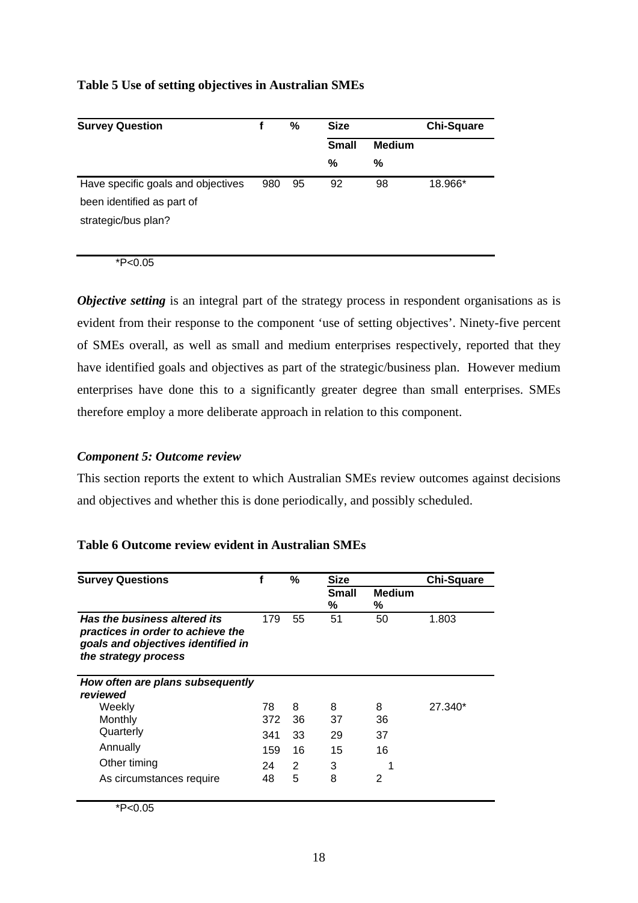# **Table 5 Use of setting objectives in Australian SMEs**

| <b>Survey Question</b>             |     | %  | <b>Size</b>  |               | <b>Chi-Square</b> |
|------------------------------------|-----|----|--------------|---------------|-------------------|
|                                    |     |    | <b>Small</b> | <b>Medium</b> |                   |
|                                    |     |    | %            | %             |                   |
| Have specific goals and objectives | 980 | 95 | 92           | 98            | 18.966*           |
| been identified as part of         |     |    |              |               |                   |
| strategic/bus plan?                |     |    |              |               |                   |

 $*P<0.05$ 

*Objective setting* is an integral part of the strategy process in respondent organisations as is evident from their response to the component 'use of setting objectives'. Ninety-five percent of SMEs overall, as well as small and medium enterprises respectively, reported that they have identified goals and objectives as part of the strategic/business plan. However medium enterprises have done this to a significantly greater degree than small enterprises. SMEs therefore employ a more deliberate approach in relation to this component.

# *Component 5: Outcome review*

This section reports the extent to which Australian SMEs review outcomes against decisions and objectives and whether this is done periodically, and possibly scheduled.

| <b>Survey Questions</b>                                                                                                         |     | ℅  | <b>Size</b>       |                    | <b>Chi-Square</b> |
|---------------------------------------------------------------------------------------------------------------------------------|-----|----|-------------------|--------------------|-------------------|
|                                                                                                                                 |     |    | <b>Small</b><br>% | <b>Medium</b><br>℅ |                   |
| Has the business altered its<br>practices in order to achieve the<br>goals and objectives identified in<br>the strategy process | 179 | 55 | 51                | 50                 | 1.803             |
| How often are plans subsequently                                                                                                |     |    |                   |                    |                   |
| reviewed                                                                                                                        |     |    |                   |                    |                   |
| Weekly                                                                                                                          | 78  | 8  | 8                 | 8                  | 27.340*           |
| Monthly                                                                                                                         | 372 | 36 | 37                | 36                 |                   |
| Quarterly                                                                                                                       | 341 | 33 | 29                | 37                 |                   |
| Annually                                                                                                                        | 159 | 16 | 15                | 16                 |                   |
| Other timing                                                                                                                    | 24  | 2  | 3                 |                    |                   |
| As circumstances require                                                                                                        | 48  | 5  | 8                 | $\mathcal{P}$      |                   |

# **Table 6 Outcome review evident in Australian SMEs**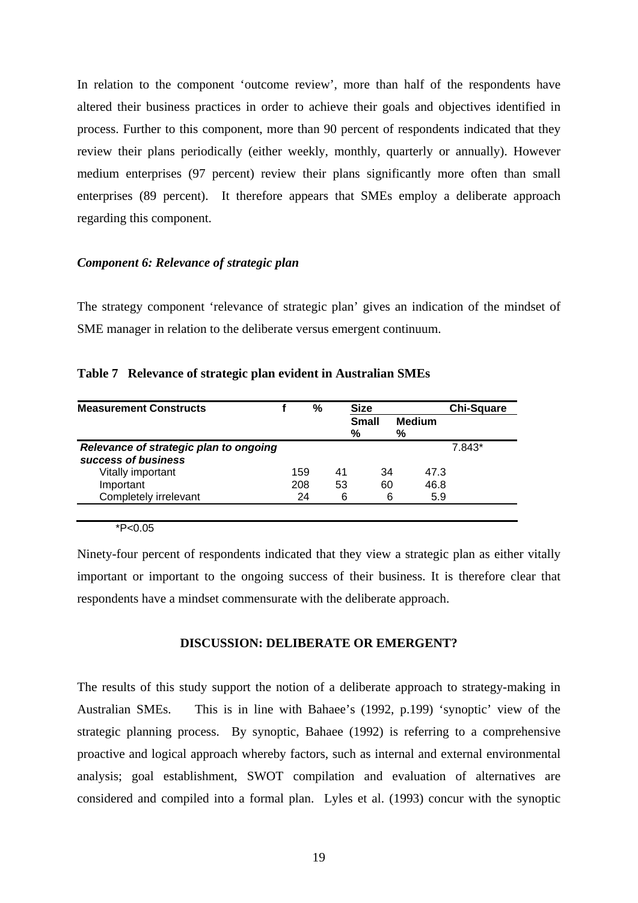In relation to the component 'outcome review', more than half of the respondents have altered their business practices in order to achieve their goals and objectives identified in process. Further to this component, more than 90 percent of respondents indicated that they review their plans periodically (either weekly, monthly, quarterly or annually). However medium enterprises (97 percent) review their plans significantly more often than small enterprises (89 percent). It therefore appears that SMEs employ a deliberate approach regarding this component.

#### *Component 6: Relevance of strategic plan*

The strategy component 'relevance of strategic plan' gives an indication of the mindset of SME manager in relation to the deliberate versus emergent continuum.

| Medium<br>% |
|-------------|
|             |
|             |
| $7.843*$    |
| 47.3        |
| 46.8        |
| 5.9         |
|             |

 $*P<0.05$ 

Ninety-four percent of respondents indicated that they view a strategic plan as either vitally important or important to the ongoing success of their business. It is therefore clear that respondents have a mindset commensurate with the deliberate approach.

#### **DISCUSSION: DELIBERATE OR EMERGENT?**

The results of this study support the notion of a deliberate approach to strategy-making in Australian SMEs. This is in line with Bahaee's (1992, p.199) 'synoptic' view of the strategic planning process. By synoptic, Bahaee (1992) is referring to a comprehensive proactive and logical approach whereby factors, such as internal and external environmental analysis; goal establishment, SWOT compilation and evaluation of alternatives are considered and compiled into a formal plan. Lyles et al. (1993) concur with the synoptic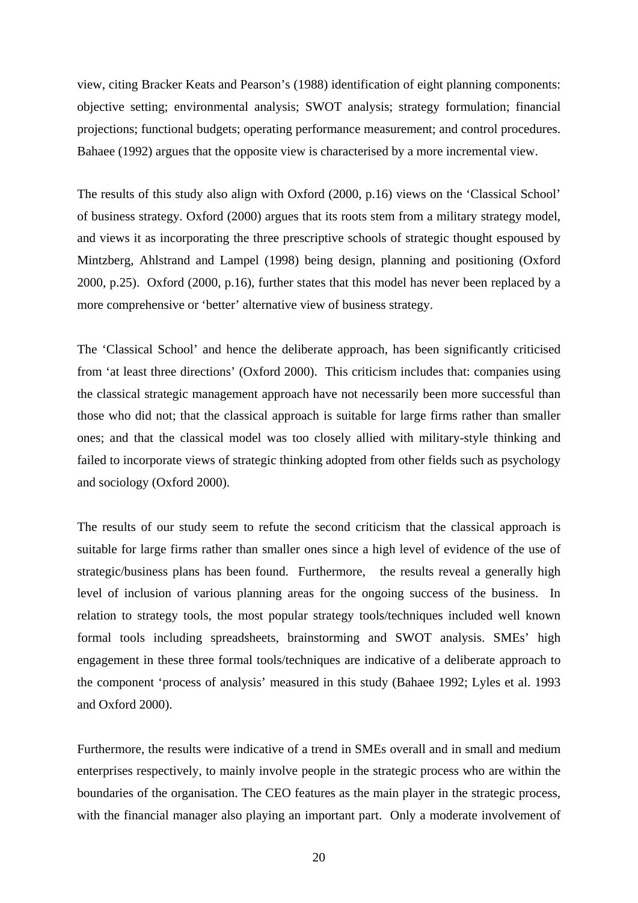view, citing Bracker Keats and Pearson's (1988) identification of eight planning components: objective setting; environmental analysis; SWOT analysis; strategy formulation; financial projections; functional budgets; operating performance measurement; and control procedures. Bahaee (1992) argues that the opposite view is characterised by a more incremental view.

The results of this study also align with Oxford (2000, p.16) views on the 'Classical School' of business strategy. Oxford (2000) argues that its roots stem from a military strategy model, and views it as incorporating the three prescriptive schools of strategic thought espoused by Mintzberg, Ahlstrand and Lampel (1998) being design, planning and positioning (Oxford 2000, p.25). Oxford (2000, p.16), further states that this model has never been replaced by a more comprehensive or 'better' alternative view of business strategy.

The 'Classical School' and hence the deliberate approach, has been significantly criticised from 'at least three directions' (Oxford 2000). This criticism includes that: companies using the classical strategic management approach have not necessarily been more successful than those who did not; that the classical approach is suitable for large firms rather than smaller ones; and that the classical model was too closely allied with military-style thinking and failed to incorporate views of strategic thinking adopted from other fields such as psychology and sociology (Oxford 2000).

The results of our study seem to refute the second criticism that the classical approach is suitable for large firms rather than smaller ones since a high level of evidence of the use of strategic/business plans has been found. Furthermore, the results reveal a generally high level of inclusion of various planning areas for the ongoing success of the business. In relation to strategy tools, the most popular strategy tools/techniques included well known formal tools including spreadsheets, brainstorming and SWOT analysis. SMEs' high engagement in these three formal tools/techniques are indicative of a deliberate approach to the component 'process of analysis' measured in this study (Bahaee 1992; Lyles et al. 1993 and Oxford 2000).

Furthermore, the results were indicative of a trend in SMEs overall and in small and medium enterprises respectively, to mainly involve people in the strategic process who are within the boundaries of the organisation. The CEO features as the main player in the strategic process, with the financial manager also playing an important part. Only a moderate involvement of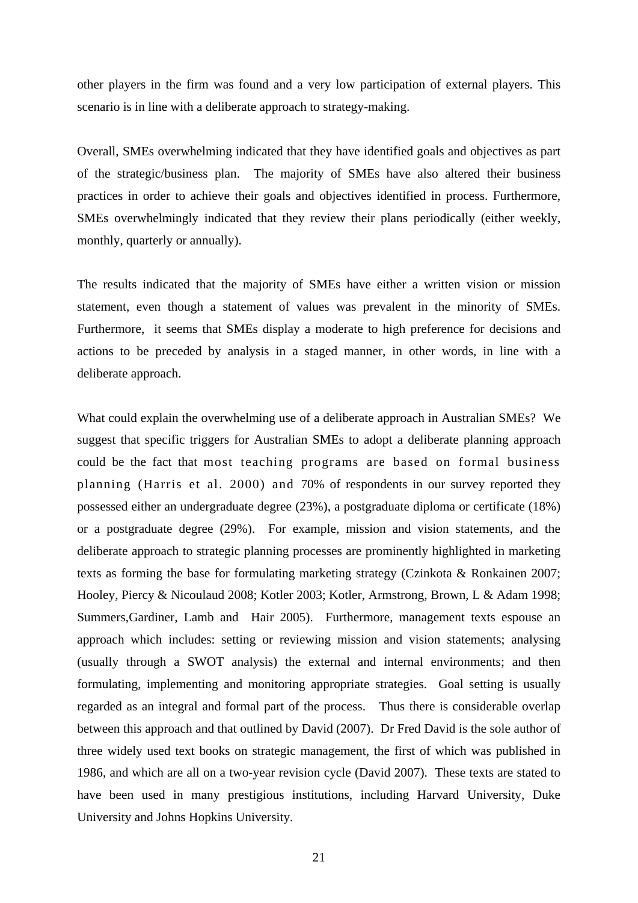other players in the firm was found and a very low participation of external players. This scenario is in line with a deliberate approach to strategy-making.

Overall, SMEs overwhelming indicated that they have identified goals and objectives as part of the strategic/business plan. The majority of SMEs have also altered their business practices in order to achieve their goals and objectives identified in process. Furthermore, SMEs overwhelmingly indicated that they review their plans periodically (either weekly, monthly, quarterly or annually).

The results indicated that the majority of SMEs have either a written vision or mission statement, even though a statement of values was prevalent in the minority of SMEs. Furthermore, it seems that SMEs display a moderate to high preference for decisions and actions to be preceded by analysis in a staged manner, in other words, in line with a deliberate approach.

What could explain the overwhelming use of a deliberate approach in Australian SMEs? We suggest that specific triggers for Australian SMEs to adopt a deliberate planning approach could be the fact that most teaching programs are based on formal business planning (Harris et al. 2000) and 70% of respondents in our survey reported they possessed either an undergraduate degree (23%), a postgraduate diploma or certificate (18%) or a postgraduate degree (29%). For example, mission and vision statements, and the deliberate approach to strategic planning processes are prominently highlighted in marketing texts as forming the base for formulating marketing strategy (Czinkota & Ronkainen 2007; Hooley, Piercy & Nicoulaud 2008; Kotler 2003; Kotler, Armstrong, Brown, L & Adam 1998; Summers,Gardiner, Lamb and Hair 2005). Furthermore, management texts espouse an approach which includes: setting or reviewing mission and vision statements; analysing (usually through a SWOT analysis) the external and internal environments; and then formulating, implementing and monitoring appropriate strategies. Goal setting is usually regarded as an integral and formal part of the process. Thus there is considerable overlap between this approach and that outlined by David (2007). Dr Fred David is the sole author of three widely used text books on strategic management, the first of which was published in 1986, and which are all on a two-year revision cycle (David 2007). These texts are stated to have been used in many prestigious institutions, including Harvard University, Duke University and Johns Hopkins University.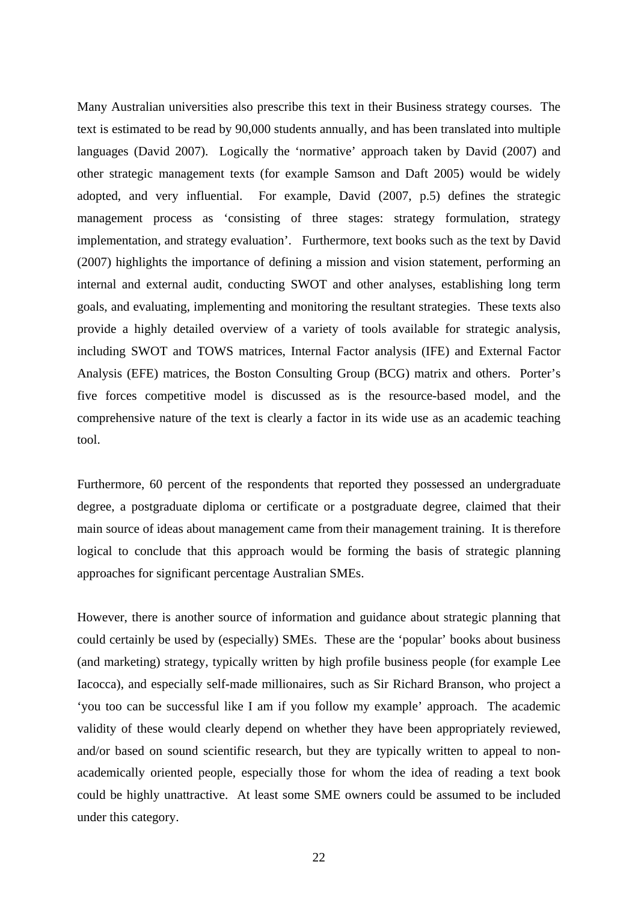Many Australian universities also prescribe this text in their Business strategy courses. The text is estimated to be read by 90,000 students annually, and has been translated into multiple languages (David 2007). Logically the 'normative' approach taken by David (2007) and other strategic management texts (for example Samson and Daft 2005) would be widely adopted, and very influential. For example, David (2007, p.5) defines the strategic management process as 'consisting of three stages: strategy formulation, strategy implementation, and strategy evaluation'. Furthermore, text books such as the text by David (2007) highlights the importance of defining a mission and vision statement, performing an internal and external audit, conducting SWOT and other analyses, establishing long term goals, and evaluating, implementing and monitoring the resultant strategies. These texts also provide a highly detailed overview of a variety of tools available for strategic analysis, including SWOT and TOWS matrices, Internal Factor analysis (IFE) and External Factor Analysis (EFE) matrices, the Boston Consulting Group (BCG) matrix and others. Porter's five forces competitive model is discussed as is the resource-based model, and the comprehensive nature of the text is clearly a factor in its wide use as an academic teaching tool.

Furthermore, 60 percent of the respondents that reported they possessed an undergraduate degree, a postgraduate diploma or certificate or a postgraduate degree, claimed that their main source of ideas about management came from their management training. It is therefore logical to conclude that this approach would be forming the basis of strategic planning approaches for significant percentage Australian SMEs.

However, there is another source of information and guidance about strategic planning that could certainly be used by (especially) SMEs. These are the 'popular' books about business (and marketing) strategy, typically written by high profile business people (for example Lee Iacocca), and especially self-made millionaires, such as Sir Richard Branson, who project a 'you too can be successful like I am if you follow my example' approach. The academic validity of these would clearly depend on whether they have been appropriately reviewed, and/or based on sound scientific research, but they are typically written to appeal to nonacademically oriented people, especially those for whom the idea of reading a text book could be highly unattractive. At least some SME owners could be assumed to be included under this category.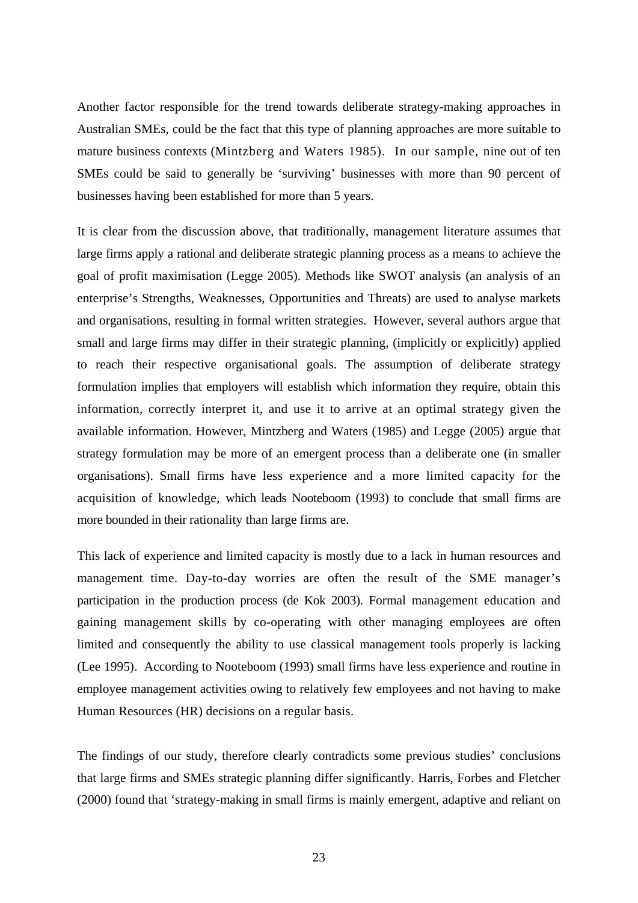Another factor responsible for the trend towards deliberate strategy-making approaches in Australian SMEs, could be the fact that this type of planning approaches are more suitable to mature business contexts (Mintzberg and Waters 1985). In our sample, nine out of ten SMEs could be said to generally be 'surviving' businesses with more than 90 percent of businesses having been established for more than 5 years.

It is clear from the discussion above, that traditionally, management literature assumes that large firms apply a rational and deliberate strategic planning process as a means to achieve the goal of profit maximisation (Legge 2005). Methods like SWOT analysis (an analysis of an enterprise's Strengths, Weaknesses, Opportunities and Threats) are used to analyse markets and organisations, resulting in formal written strategies. However, several authors argue that small and large firms may differ in their strategic planning, (implicitly or explicitly) applied to reach their respective organisational goals. The assumption of deliberate strategy formulation implies that employers will establish which information they require, obtain this information, correctly interpret it, and use it to arrive at an optimal strategy given the available information. However, Mintzberg and Waters (1985) and Legge (2005) argue that strategy formulation may be more of an emergent process than a deliberate one (in smaller organisations). Small firms have less experience and a more limited capacity for the acquisition of knowledge, which leads Nooteboom (1993) to conclude that small firms are more bounded in their rationality than large firms are.

This lack of experience and limited capacity is mostly due to a lack in human resources and management time. Day-to-day worries are often the result of the SME manager's participation in the production process (de Kok 2003). Formal management education and gaining management skills by co-operating with other managing employees are often limited and consequently the ability to use classical management tools properly is lacking (Lee 1995). According to Nooteboom (1993) small firms have less experience and routine in employee management activities owing to relatively few employees and not having to make Human Resources (HR) decisions on a regular basis.

The findings of our study, therefore clearly contradicts some previous studies' conclusions that large firms and SMEs strategic planning differ significantly. Harris, Forbes and Fletcher (2000) found that 'strategy-making in small firms is mainly emergent, adaptive and reliant on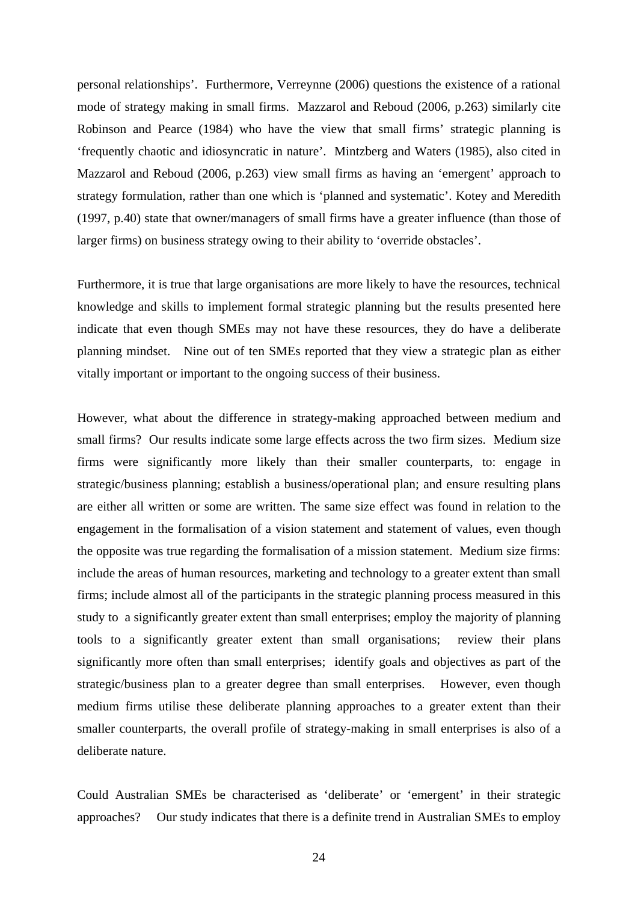personal relationships'. Furthermore, Verreynne (2006) questions the existence of a rational mode of strategy making in small firms. Mazzarol and Reboud (2006, p.263) similarly cite Robinson and Pearce (1984) who have the view that small firms' strategic planning is 'frequently chaotic and idiosyncratic in nature'. Mintzberg and Waters (1985), also cited in Mazzarol and Reboud (2006, p.263) view small firms as having an 'emergent' approach to strategy formulation, rather than one which is 'planned and systematic'. Kotey and Meredith (1997, p.40) state that owner/managers of small firms have a greater influence (than those of larger firms) on business strategy owing to their ability to 'override obstacles'.

Furthermore, it is true that large organisations are more likely to have the resources, technical knowledge and skills to implement formal strategic planning but the results presented here indicate that even though SMEs may not have these resources, they do have a deliberate planning mindset. Nine out of ten SMEs reported that they view a strategic plan as either vitally important or important to the ongoing success of their business.

However, what about the difference in strategy-making approached between medium and small firms? Our results indicate some large effects across the two firm sizes. Medium size firms were significantly more likely than their smaller counterparts, to: engage in strategic/business planning; establish a business/operational plan; and ensure resulting plans are either all written or some are written. The same size effect was found in relation to the engagement in the formalisation of a vision statement and statement of values, even though the opposite was true regarding the formalisation of a mission statement. Medium size firms: include the areas of human resources, marketing and technology to a greater extent than small firms; include almost all of the participants in the strategic planning process measured in this study to a significantly greater extent than small enterprises; employ the majority of planning tools to a significantly greater extent than small organisations; review their plans significantly more often than small enterprises; identify goals and objectives as part of the strategic/business plan to a greater degree than small enterprises. However, even though medium firms utilise these deliberate planning approaches to a greater extent than their smaller counterparts, the overall profile of strategy-making in small enterprises is also of a deliberate nature.

Could Australian SMEs be characterised as 'deliberate' or 'emergent' in their strategic approaches? Our study indicates that there is a definite trend in Australian SMEs to employ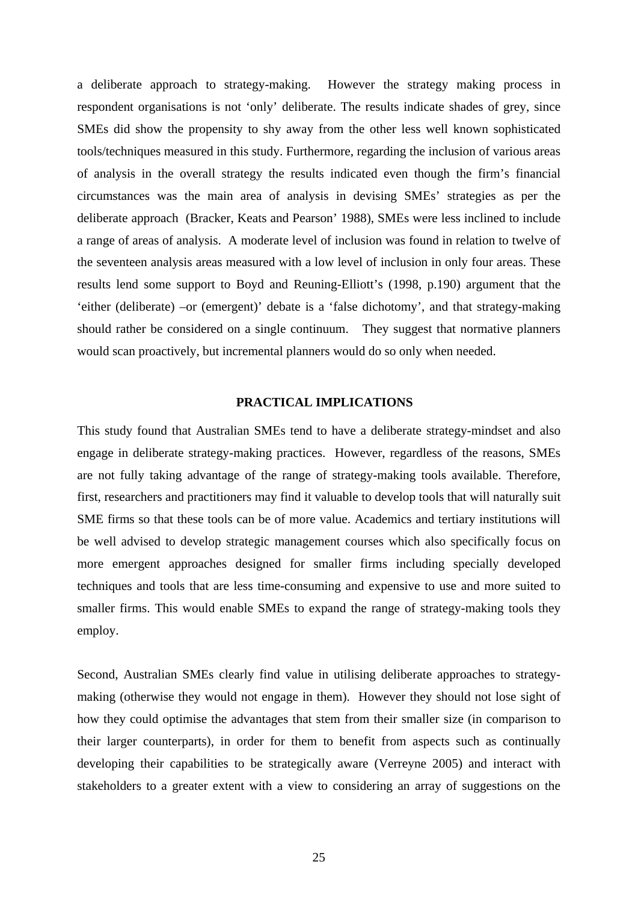a deliberate approach to strategy-making. However the strategy making process in respondent organisations is not 'only' deliberate. The results indicate shades of grey, since SMEs did show the propensity to shy away from the other less well known sophisticated tools/techniques measured in this study. Furthermore, regarding the inclusion of various areas of analysis in the overall strategy the results indicated even though the firm's financial circumstances was the main area of analysis in devising SMEs' strategies as per the deliberate approach (Bracker, Keats and Pearson' 1988), SMEs were less inclined to include a range of areas of analysis. A moderate level of inclusion was found in relation to twelve of the seventeen analysis areas measured with a low level of inclusion in only four areas. These results lend some support to Boyd and Reuning-Elliott's (1998, p.190) argument that the 'either (deliberate) –or (emergent)' debate is a 'false dichotomy', and that strategy-making should rather be considered on a single continuum. They suggest that normative planners would scan proactively, but incremental planners would do so only when needed.

#### **PRACTICAL IMPLICATIONS**

This study found that Australian SMEs tend to have a deliberate strategy-mindset and also engage in deliberate strategy-making practices. However, regardless of the reasons, SMEs are not fully taking advantage of the range of strategy-making tools available. Therefore, first, researchers and practitioners may find it valuable to develop tools that will naturally suit SME firms so that these tools can be of more value. Academics and tertiary institutions will be well advised to develop strategic management courses which also specifically focus on more emergent approaches designed for smaller firms including specially developed techniques and tools that are less time-consuming and expensive to use and more suited to smaller firms. This would enable SMEs to expand the range of strategy-making tools they employ.

Second, Australian SMEs clearly find value in utilising deliberate approaches to strategymaking (otherwise they would not engage in them). However they should not lose sight of how they could optimise the advantages that stem from their smaller size (in comparison to their larger counterparts), in order for them to benefit from aspects such as continually developing their capabilities to be strategically aware (Verreyne 2005) and interact with stakeholders to a greater extent with a view to considering an array of suggestions on the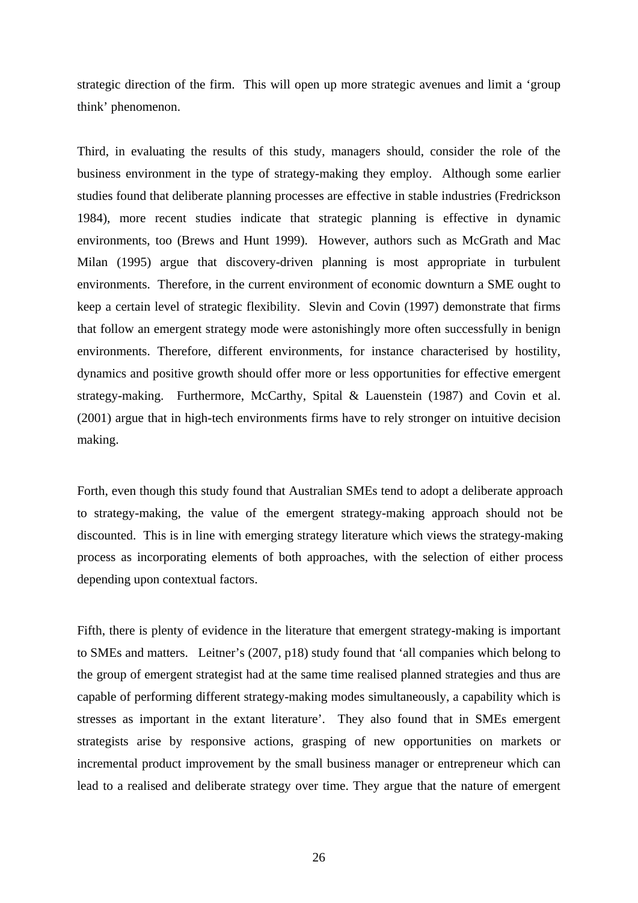strategic direction of the firm. This will open up more strategic avenues and limit a 'group think' phenomenon.

Third, in evaluating the results of this study, managers should, consider the role of the business environment in the type of strategy-making they employ. Although some earlier studies found that deliberate planning processes are effective in stable industries (Fredrickson 1984), more recent studies indicate that strategic planning is effective in dynamic environments, too (Brews and Hunt 1999). However, authors such as McGrath and Mac Milan (1995) argue that discovery-driven planning is most appropriate in turbulent environments. Therefore, in the current environment of economic downturn a SME ought to keep a certain level of strategic flexibility. Slevin and Covin (1997) demonstrate that firms that follow an emergent strategy mode were astonishingly more often successfully in benign environments. Therefore, different environments, for instance characterised by hostility, dynamics and positive growth should offer more or less opportunities for effective emergent strategy-making. Furthermore, McCarthy, Spital & Lauenstein (1987) and Covin et al. (2001) argue that in high-tech environments firms have to rely stronger on intuitive decision making.

Forth, even though this study found that Australian SMEs tend to adopt a deliberate approach to strategy-making, the value of the emergent strategy-making approach should not be discounted. This is in line with emerging strategy literature which views the strategy-making process as incorporating elements of both approaches, with the selection of either process depending upon contextual factors.

Fifth, there is plenty of evidence in the literature that emergent strategy-making is important to SMEs and matters. Leitner's (2007, p18) study found that 'all companies which belong to the group of emergent strategist had at the same time realised planned strategies and thus are capable of performing different strategy-making modes simultaneously, a capability which is stresses as important in the extant literature'. They also found that in SMEs emergent strategists arise by responsive actions, grasping of new opportunities on markets or incremental product improvement by the small business manager or entrepreneur which can lead to a realised and deliberate strategy over time. They argue that the nature of emergent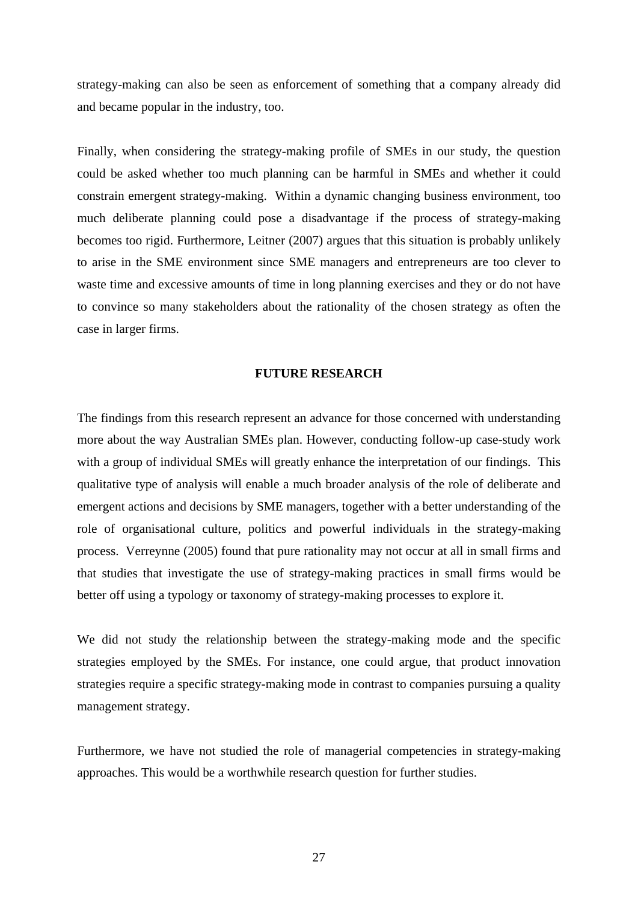strategy-making can also be seen as enforcement of something that a company already did and became popular in the industry, too.

Finally, when considering the strategy-making profile of SMEs in our study, the question could be asked whether too much planning can be harmful in SMEs and whether it could constrain emergent strategy-making. Within a dynamic changing business environment, too much deliberate planning could pose a disadvantage if the process of strategy-making becomes too rigid. Furthermore, Leitner (2007) argues that this situation is probably unlikely to arise in the SME environment since SME managers and entrepreneurs are too clever to waste time and excessive amounts of time in long planning exercises and they or do not have to convince so many stakeholders about the rationality of the chosen strategy as often the case in larger firms.

#### **FUTURE RESEARCH**

The findings from this research represent an advance for those concerned with understanding more about the way Australian SMEs plan. However, conducting follow-up case-study work with a group of individual SMEs will greatly enhance the interpretation of our findings. This qualitative type of analysis will enable a much broader analysis of the role of deliberate and emergent actions and decisions by SME managers, together with a better understanding of the role of organisational culture, politics and powerful individuals in the strategy-making process. Verreynne (2005) found that pure rationality may not occur at all in small firms and that studies that investigate the use of strategy-making practices in small firms would be better off using a typology or taxonomy of strategy-making processes to explore it.

We did not study the relationship between the strategy-making mode and the specific strategies employed by the SMEs. For instance, one could argue, that product innovation strategies require a specific strategy-making mode in contrast to companies pursuing a quality management strategy.

Furthermore, we have not studied the role of managerial competencies in strategy-making approaches. This would be a worthwhile research question for further studies.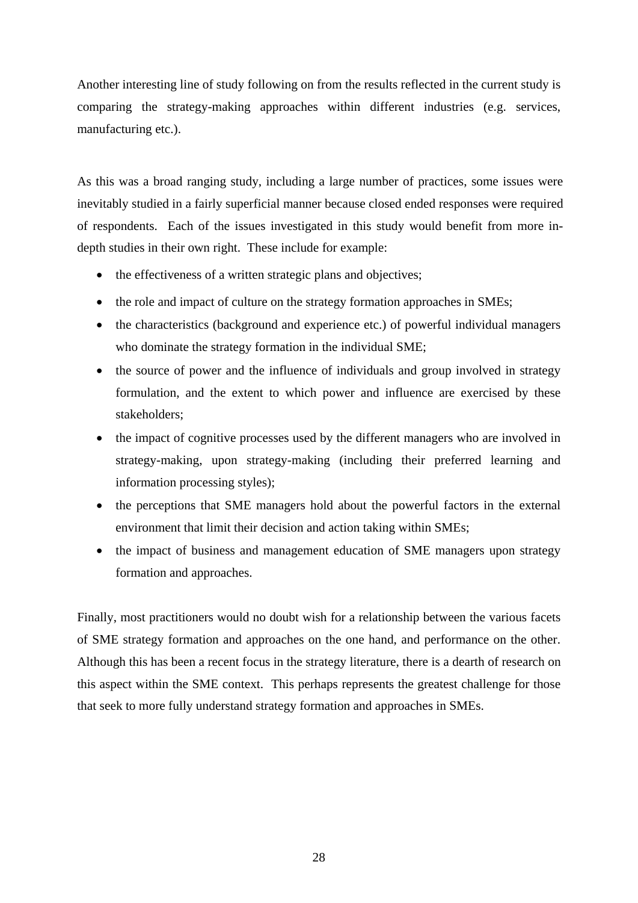Another interesting line of study following on from the results reflected in the current study is comparing the strategy-making approaches within different industries (e.g. services, manufacturing etc.).

As this was a broad ranging study, including a large number of practices, some issues were inevitably studied in a fairly superficial manner because closed ended responses were required of respondents. Each of the issues investigated in this study would benefit from more indepth studies in their own right. These include for example:

- the effectiveness of a written strategic plans and objectives;
- the role and impact of culture on the strategy formation approaches in SMEs;
- the characteristics (background and experience etc.) of powerful individual managers who dominate the strategy formation in the individual SME;
- the source of power and the influence of individuals and group involved in strategy formulation, and the extent to which power and influence are exercised by these stakeholders;
- the impact of cognitive processes used by the different managers who are involved in strategy-making, upon strategy-making (including their preferred learning and information processing styles);
- the perceptions that SME managers hold about the powerful factors in the external environment that limit their decision and action taking within SMEs;
- the impact of business and management education of SME managers upon strategy formation and approaches.

Finally, most practitioners would no doubt wish for a relationship between the various facets of SME strategy formation and approaches on the one hand, and performance on the other. Although this has been a recent focus in the strategy literature, there is a dearth of research on this aspect within the SME context. This perhaps represents the greatest challenge for those that seek to more fully understand strategy formation and approaches in SMEs.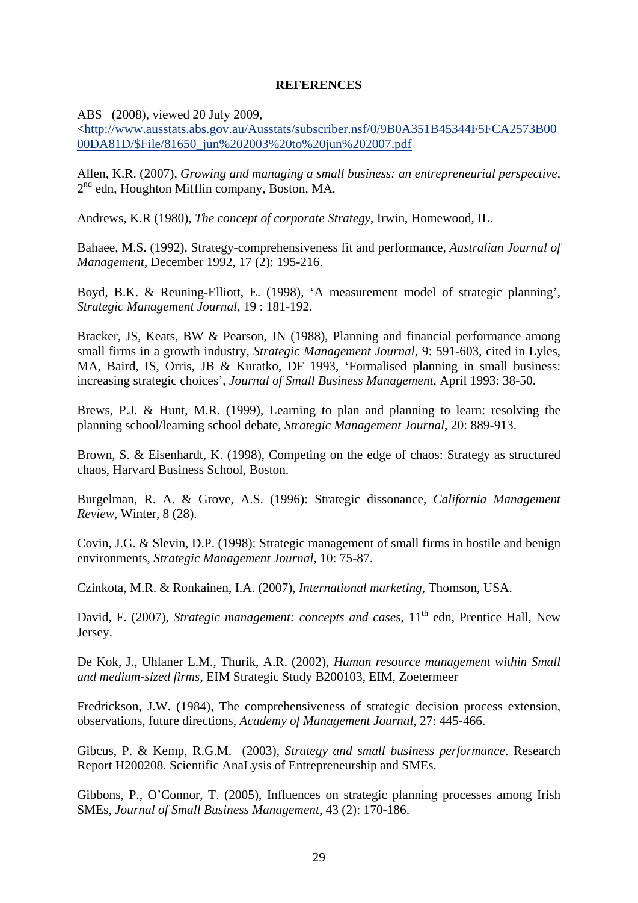# **REFERENCES**

ABS (2008), viewed 20 July 2009,

<[http://www.ausstats.abs.gov.au/Ausstats/subscriber.nsf/0/9B0A351B45344F5FCA2573B00](http://www.ausstats.abs.gov.au/Ausstats/subscriber.nsf/0/9B0A351B45344F5FCA2573B0000DA81D/$File/81650_jun%202003%20to%20jun%202007.pdf) [00DA81D/\\$File/81650\\_jun%202003%20to%20jun%202007.pdf](http://www.ausstats.abs.gov.au/Ausstats/subscriber.nsf/0/9B0A351B45344F5FCA2573B0000DA81D/$File/81650_jun%202003%20to%20jun%202007.pdf)

Allen, K.R. (2007), *Growing and managing a small business: an entrepreneurial perspective*, 2<sup>nd</sup> edn, Houghton Mifflin company, Boston, MA.

Andrews, K.R (1980), *The concept of corporate Strategy*, Irwin, Homewood, IL.

Bahaee, M.S. (1992), Strategy-comprehensiveness fit and performance, *Australian Journal of Management*, December 1992, 17 (2): 195-216.

Boyd, B.K. & Reuning-Elliott, E. (1998), 'A measurement model of strategic planning', *Strategic Management Journal*, 19 : 181-192.

Bracker, JS, Keats, BW & Pearson, JN (1988), Planning and financial performance among small firms in a growth industry, *Strategic Management Journal*, 9: 591-603, cited in Lyles, MA, Baird, IS, Orris, JB & Kuratko, DF 1993, 'Formalised planning in small business: increasing strategic choices', *Journal of Small Business Management*, April 1993: 38-50.

Brews, P.J. & Hunt, M.R. (1999), Learning to plan and planning to learn: resolving the planning school/learning school debate, *Strategic Management Journal*, 20: 889-913.

Brown, S. & Eisenhardt, K. (1998), Competing on the edge of chaos: Strategy as structured chaos, Harvard Business School, Boston.

Burgelman, R. A. & Grove, A.S. (1996): Strategic dissonance, *California Management Review*, Winter, 8 (28).

Covin, J.G. & Slevin, D.P. (1998): Strategic management of small firms in hostile and benign environments, *Strategic Management Journal*, 10: 75-87.

Czinkota, M.R. & Ronkainen, I.A. (2007), *International marketing*, Thomson, USA.

David, F. (2007), *Strategic management: concepts and cases*, 11<sup>th</sup> edn. Prentice Hall, New Jersey.

De Kok, J., Uhlaner L.M., Thurik, A.R. (2002), *Human resource management within Small and medium-sized firms*, EIM Strategic Study B200103, EIM, Zoetermeer

Fredrickson, J.W. (1984), The comprehensiveness of strategic decision process extension, observations, future directions, *Academy of Management Journal*, 27: 445-466.

Gibcus, P. & Kemp, R.G.M. (2003), *Strategy and small business performance*. Research Report H200208. Scientific AnaLysis of Entrepreneurship and SMEs.

Gibbons, P., O'Connor, T. (2005), Influences on strategic planning processes among Irish SMEs, *Journal of Small Business Management*, 43 (2): 170-186.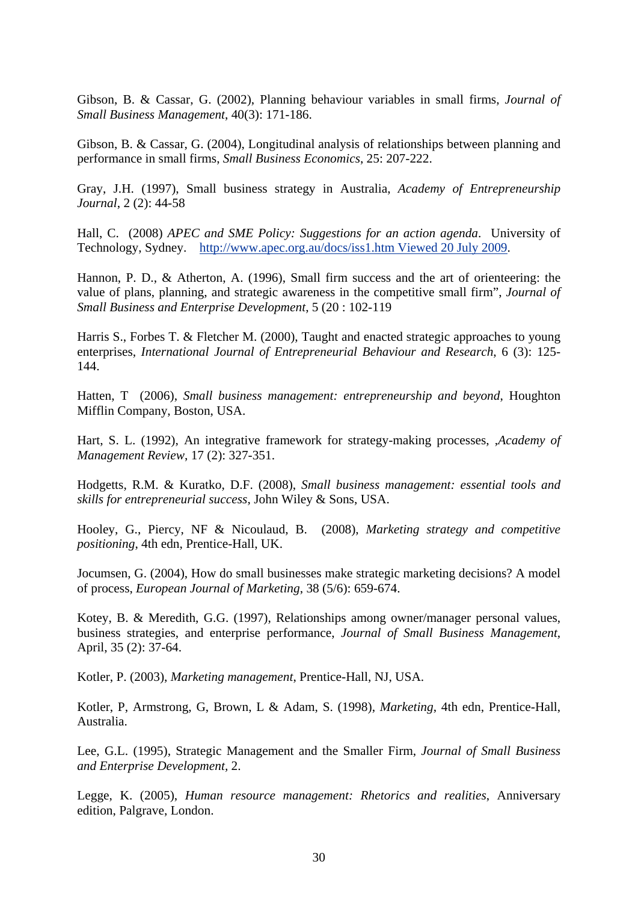Gibson, B. & Cassar, G. (2002), Planning behaviour variables in small firms, *Journal of Small Business Management*, 40(3): 171-186.

Gibson, B. & Cassar, G. (2004), Longitudinal analysis of relationships between planning and performance in small firms, *Small Business Economics*, 25: 207-222.

Gray, J.H. (1997), Small business strategy in Australia, *Academy of Entrepreneurship Journal*, 2 (2): 44-58

Hall, C. (2008) *APEC and SME Policy: Suggestions for an action agenda*. University of Technology, Sydney. [http://www.apec.org.au/docs/iss1.htm Viewed 20 July 2009.](http://www.apec.org.au/docs/iss1.htm%20Viewed%2020%20July%202009)

Hannon, P. D., & Atherton, A. (1996), Small firm success and the art of orienteering: the value of plans, planning, and strategic awareness in the competitive small firm", *Journal of Small Business and Enterprise Development*, 5 (20 : 102-119

Harris S., Forbes T. & Fletcher M. (2000), Taught and enacted strategic approaches to young enterprises, *International Journal of Entrepreneurial Behaviour and Research*, 6 (3): 125- 144.

Hatten, T (2006), *Small business management: entrepreneurship and beyond*, Houghton Mifflin Company, Boston, USA.

Hart, S. L. (1992), An integrative framework for strategy-making processes, ,*Academy of Management Review*, 17 (2): 327-351.

Hodgetts, R.M. & Kuratko, D.F. (2008), *Small business management: essential tools and skills for entrepreneurial success*, John Wiley & Sons, USA.

Hooley, G., Piercy, NF & Nicoulaud, B. (2008), *Marketing strategy and competitive positioning*, 4th edn, Prentice-Hall, UK.

Jocumsen, G. (2004), How do small businesses make strategic marketing decisions? A model of process, *European Journal of Marketing*, 38 (5/6): 659-674.

Kotey, B. & Meredith, G.G. (1997), Relationships among owner/manager personal values, business strategies, and enterprise performance, *Journal of Small Business Management*, April, 35 (2): 37-64.

Kotler, P. (2003), *Marketing management*, Prentice-Hall, NJ, USA.

Kotler, P, Armstrong, G, Brown, L & Adam, S. (1998), *Marketing*, 4th edn, Prentice-Hall, Australia.

Lee, G.L. (1995), Strategic Management and the Smaller Firm, *Journal of Small Business and Enterprise Development,* 2.

Legge, K. (2005), *Human resource management: Rhetorics and realities*, Anniversary edition, Palgrave, London.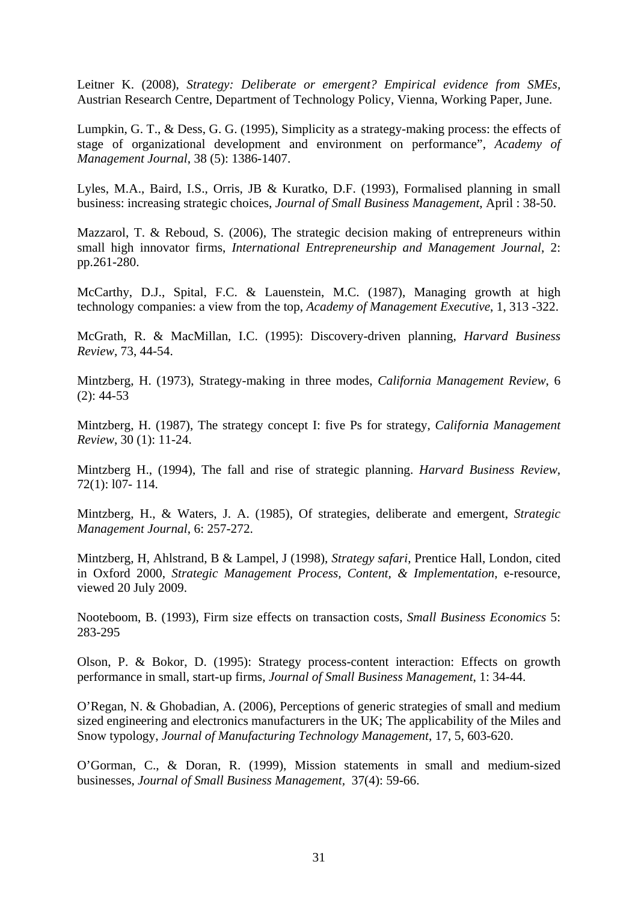Leitner K. (2008), *Strategy: Deliberate or emergent? Empirical evidence from SMEs,* Austrian Research Centre, Department of Technology Policy, Vienna, Working Paper, June.

Lumpkin, G. T., & Dess, G. G. (1995), Simplicity as a strategy-making process: the effects of stage of organizational development and environment on performance", *Academy of Management Journal*, 38 (5): 1386-1407.

Lyles, M.A., Baird, I.S., Orris, JB & Kuratko, D.F. (1993), Formalised planning in small business: increasing strategic choices, *Journal of Small Business Management*, April : 38-50.

Mazzarol, T. & Reboud, S. (2006), The strategic decision making of entrepreneurs within small high innovator firms, *International Entrepreneurship and Management Journal*, 2: pp.261-280.

McCarthy, D.J., Spital, F.C. & Lauenstein, M.C. (1987), Managing growth at high technology companies: a view from the top, *Academy of Management Executive*, 1, 313 -322.

McGrath, R. & MacMillan, I.C. (1995): Discovery-driven planning, *Harvard Business Review*, 73, 44-54.

Mintzberg, H. (1973), Strategy-making in three modes, *California Management Review*, 6  $(2): 44-53$ 

Mintzberg, H. (1987), The strategy concept I: five Ps for strategy, *California Management Review*, 30 (1): 11-24.

Mintzberg H., (1994), The fall and rise of strategic planning. *Harvard Business Review*, 72(1): l07- 114.

Mintzberg, H., & Waters, J. A. (1985), Of strategies, deliberate and emergent, *Strategic Management Journal*, 6: 257-272.

Mintzberg, H, Ahlstrand, B & Lampel, J (1998), *Strategy safari*, Prentice Hall, London, cited in Oxford 2000, *Strategic Management Process, Content, & Implementation*, e-resource, viewed 20 July 2009.

Nooteboom, B. (1993), Firm size effects on transaction costs, *Small Business Economics* 5: 283-295

Olson, P. & Bokor, D. (1995): Strategy process-content interaction: Effects on growth performance in small, start-up firms, *Journal of Small Business Management*, 1: 34-44.

O'Regan, N. & Ghobadian, A. (2006), Perceptions of generic strategies of small and medium sized engineering and electronics manufacturers in the UK; The applicability of the Miles and Snow typology, *Journal of Manufacturing Technology Management*, 17, 5, 603-620.

O'Gorman, C., & Doran, R. (1999), Mission statements in small and medium-sized businesses, *Journal of Small Business Management,* 37(4): 59-66.